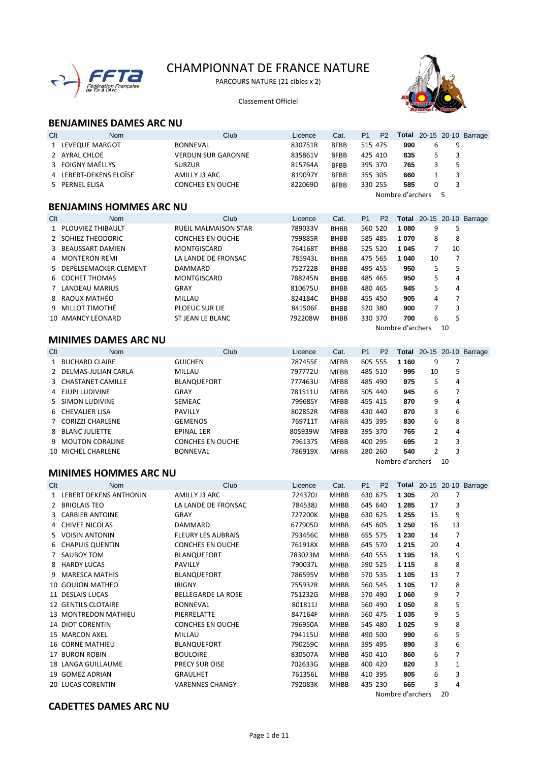

# CHAMPIONNAT DE FRANCE NATURE

PARCOURS NATURE (21 cibles x 2)

Classement Officiel



Nombre d'archers 10

# **BENJAMINES DAMES ARC NU**

| Clt | <b>Nom</b>                     | Club                        | Licence | Cat.        | P <sub>1</sub> | P <sub>2</sub> |                  |          |    | <b>Total</b> 20-15 20-10 Barrage |
|-----|--------------------------------|-----------------------------|---------|-------------|----------------|----------------|------------------|----------|----|----------------------------------|
|     | 1 LEVEQUE MARGOT               | <b>BONNEVAL</b>             | 830751R | <b>BFBB</b> | 515 475        |                | 990              | 6        | 9  |                                  |
|     | 2 AYRAL CHLOE                  | <b>VERDUN SUR GARONNE</b>   | 835861V | <b>BFBB</b> | 425 410        |                | 835              | 5        | 3  |                                  |
|     | 3 FOIGNY MAËLLYS               | <b>SURZUR</b>               | 815764A | <b>BFBB</b> | 395 370        |                | 765              | 3        | 5  |                                  |
|     | 4 LEBERT-DEKENS ELOÏSE         | AMILLY J3 ARC               | 819097Y | <b>BFBB</b> | 355 305        |                | 660              | 1        | 3  |                                  |
|     | 5 PERNEL ELISA                 | <b>CONCHES EN OUCHE</b>     | 822069D | <b>BFBB</b> | 330 255        |                | 585              | $\Omega$ | 3  |                                  |
|     |                                |                             |         |             |                |                | Nombre d'archers |          | 5  |                                  |
|     | <b>BENJAMINS HOMMES ARC NU</b> |                             |         |             |                |                |                  |          |    |                                  |
| Clt | <b>Nom</b>                     | Club                        | Licence | Cat.        | P <sub>1</sub> | P <sub>2</sub> |                  |          |    | <b>Total</b> 20-15 20-10 Barrage |
|     | 1 PLOUVIEZ THIBAULT            | <b>RUEIL MALMAISON STAR</b> | 789033V | <b>BHBB</b> | 560 520        |                | 1080             | 9        | 5  |                                  |
|     | 2 SOHIEZ THEODORIC             | <b>CONCHES EN OUCHE</b>     | 799885R | <b>BHBB</b> | 585 485        |                | 1070             | 8        | 8  |                                  |
|     | 3 BEAUSSART DAMIEN             | <b>MONTGISCARD</b>          | 764168T | <b>BHBB</b> | 525 520        |                | 1 0 4 5          | 7        | 10 |                                  |
|     | 4 MONTERON REMI                | LA LANDE DE FRONSAC         | 785943L | <b>BHBB</b> | 475 565        |                | 1 040            | 10       | 7  |                                  |
| 5.  | DEPELSEMACKER CLEMENT          | DAMMARD                     | 752722B | <b>BHBB</b> | 495 455        |                | 950              | 5        | 5  |                                  |
|     | 6 COCHET THOMAS                | <b>MONTGISCARD</b>          | 788245N | <b>BHBB</b> | 485 465        |                | 950              | 5        | 4  |                                  |
|     | 7 LANDEAU MARIUS               | GRAY                        | 810675U | <b>BHBB</b> | 480 465        |                | 945              | 5        | 4  |                                  |
|     | 8 RAOUX MATHÉO                 | MILLAU                      | 824184C | <b>BHBB</b> | 455 450        |                | 905              | 4        | 7  |                                  |
| 9   | MILLOT TIMOTHÉ                 | <b>PLOEUC SUR LIE</b>       | 841506F | <b>BHBB</b> | 520 380        |                | 900              | 7        | 3  |                                  |
|     | 10 AMANCY LEONARD              | ST JEAN LE BLANC            | 792208W | <b>BHBB</b> | 330 370        |                | 700              | 6        | 5  |                                  |

#### **MINIMES DAMES ARC NU**

| Clt | <b>Nom</b>            | Club                    | Licence | Cat.        | P <sub>1</sub> | P <sub>2</sub> | Total            |    |    | 20-15 20-10 Barrage |
|-----|-----------------------|-------------------------|---------|-------------|----------------|----------------|------------------|----|----|---------------------|
|     | 1 BUCHARD CLAIRE      | <b>GUICHEN</b>          | 787455E | <b>MFBB</b> | 605 555        |                | 1 1 6 0          | 9  |    |                     |
|     | 2 DELMAS-JULIAN CARLA | MILLAU                  | 797772U | <b>MFBB</b> | 485 510        |                | 995              | 10 | 5  |                     |
|     | 3 CHASTANET CAMILLE   | <b>BLANQUEFORT</b>      | 777463U | <b>MFBB</b> | 485 490        |                | 975              | 5  | 4  |                     |
|     | 4 EJUPI LUDIVINE      | GRAY                    | 781511U | <b>MFBB</b> | 505 440        |                | 945              | 6  |    |                     |
|     | 5 SIMON LUDIVINE      | <b>SEMEAC</b>           | 799685Y | <b>MFBB</b> | 455 415        |                | 870              | 9  | 4  |                     |
|     | 6 CHEVALIER LISA      | <b>PAVILLY</b>          | 802852R | <b>MFBB</b> | 430 440        |                | 870              | 3  | 6  |                     |
|     | 7 CORIZZI CHARLENE    | <b>GEMENOS</b>          | 769711T | <b>MFBB</b> | 435 395        |                | 830              | 6  | 8  |                     |
|     | 8 BLANC JULIETTE      | <b>EPINAL 1ER</b>       | 805939W | <b>MFBB</b> | 395 370        |                | 765              | 2  | 4  |                     |
|     | 9 MOUTON CORALINE     | <b>CONCHES EN OUCHE</b> | 796137S | <b>MFBB</b> | 400 295        |                | 695              | 2  | 3  |                     |
|     | 10 MICHEL CHARLENE    | <b>BONNEVAL</b>         | 786919X | <b>MFBB</b> | 280 260        |                | 540              | 2  | 3  |                     |
|     |                       |                         |         |             |                |                | Nombre d'archers |    | 10 |                     |

#### **MINIMES HOMMES ARC NU**

| Clt | <b>Nom</b>                 | Club                      | Licence | Cat.        | P <sub>1</sub> | P <sub>2</sub> |                                      |    |        | <b>Total</b> 20-15 20-10 Barrage |
|-----|----------------------------|---------------------------|---------|-------------|----------------|----------------|--------------------------------------|----|--------|----------------------------------|
|     | 1 LEBERT DEKENS ANTHONIN   | AMILLY J3 ARC             | 724370J | <b>MHBB</b> |                | 630 675        | 1 3 0 5                              | 20 | 7      |                                  |
|     | 2 BRIOLAIS TEO             | LA LANDE DE FRONSAC       | 784538J | <b>MHBB</b> |                | 645 640        | 1 2 8 5                              | 17 | 3      |                                  |
|     | 3 CARBIER ANTOINE          | GRAY                      | 727200K | <b>MHBB</b> |                | 630 625        | 1 255                                | 15 | 9      |                                  |
|     | 4 CHIVEE NICOLAS           | DAMMARD                   | 677905D | <b>MHBB</b> |                | 645 605        | 1 250                                | 16 | 13     |                                  |
|     | 5 VOISIN ANTONIN           | <b>FLEURY LES AUBRAIS</b> | 793456C | <b>MHBB</b> |                | 655 575        | 1 2 3 0                              | 14 | 7      |                                  |
|     | 6 CHAPUIS QUENTIN          | <b>CONCHES EN OUCHE</b>   | 761918X | MHBB        |                | 645 570        | 1 2 1 5                              | 20 | 4      |                                  |
|     | 7 SAUBOY TOM               | BLANQUEFORT               | 783023M | <b>MHBB</b> |                | 640 555        | 1 1 9 5                              | 18 | 9      |                                  |
|     | 8 HARDY LUCAS              | <b>PAVILLY</b>            | 790037L | <b>MHBB</b> |                | 590 525        | 1 1 1 5                              | 8  | 8      |                                  |
| 9   | <b>MARESCA MATHIS</b>      | BLANQUEFORT               | 786595V | <b>MHBB</b> |                | 570 535        | 1 1 0 5                              | 13 | 7      |                                  |
|     | 10 GOUJON MATHEO           | <b>IRIGNY</b>             | 755932R | <b>MHBB</b> |                | 560 545        | 1 1 0 5                              | 12 | 8      |                                  |
|     | 11 DESLAIS LUCAS           | <b>BELLEGARDE LA ROSE</b> | 751232G | <b>MHBB</b> |                | 570 490        | 1 0 6 0                              | 9  | 7      |                                  |
|     | <b>12 GENTILS CLOTAIRE</b> | <b>BONNEVAL</b>           | 801811J | <b>MHBB</b> |                | 560 490        | 1 0 5 0                              | 8  | 5      |                                  |
|     | 13 MONTREDON MATHIEU       | PIERRELATTE               | 847164F | <b>MHBB</b> |                | 560 475        | 1 0 3 5                              | 9  | 5      |                                  |
|     | <b>14 DIOT CORENTIN</b>    | <b>CONCHES EN OUCHE</b>   | 796950A | <b>MHBB</b> |                | 545 480        | 1 0 2 5                              | 9  | 8      |                                  |
|     | 15 MARCON AXEL             | MILLAU                    | 794115U | <b>MHBB</b> |                | 490 500        | 990                                  | 6  | 5      |                                  |
|     | <b>16 CORNE MATHIEU</b>    | BLANQUEFORT               | 790259C | <b>MHBB</b> |                | 395 495        | 890                                  | 3  | 6      |                                  |
|     | 17 BURON ROBIN             | <b>BOULOIRE</b>           | 830507A | <b>MHBB</b> |                | 450 410        | 860                                  | 6  | 7      |                                  |
|     | <b>18 LANGA GUILLAUME</b>  | <b>PRECY SUR OISE</b>     | 702633G | <b>MHBB</b> |                | 400 420        | 820                                  | 3  | 1      |                                  |
|     | 19 GOMEZ ADRIAN            | <b>GRAULHET</b>           | 761356L | <b>MHBB</b> |                | 410 395        | 805                                  | 6  | 3      |                                  |
|     | 20 LUCAS CORENTIN          | <b>VARENNES CHANGY</b>    | 792083K | <b>MHBB</b> |                | 435 230        | 665                                  | 3  | 4      |                                  |
|     |                            |                           |         |             |                |                | <b>ALCOHOL: 11 PERSONAL PROPERTY</b> |    | $\sim$ |                                  |

#### **CADETTES DAMES ARC NU**

Nombre d'archers 20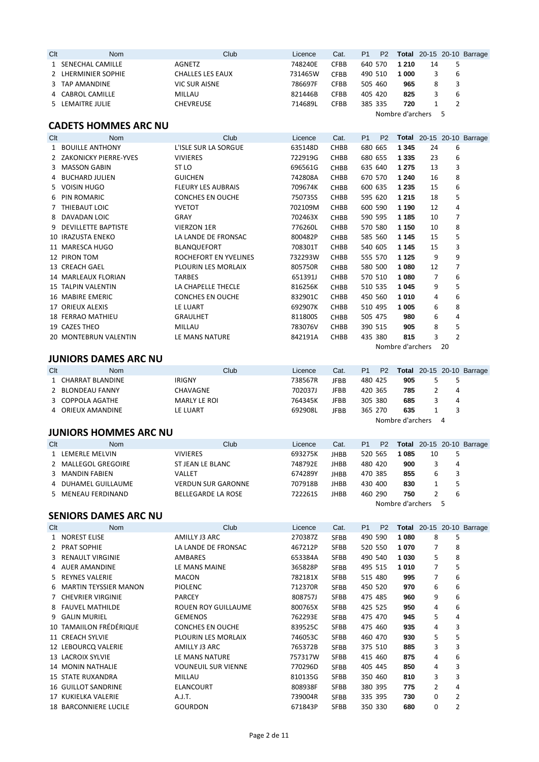| Clt | <b>Nom</b>          | Club                    | Licence | Cat.        | P <sub>1</sub> | P <sub>2</sub> |                  |    |   | <b>Total</b> 20-15 20-10 Barrage |
|-----|---------------------|-------------------------|---------|-------------|----------------|----------------|------------------|----|---|----------------------------------|
|     | 1 SENECHAL CAMILLE  | AGNETZ                  | 748240E | <b>CFBB</b> | 640 570        |                | 1 2 1 0          | 14 |   |                                  |
|     | 2 LHERMINIER SOPHIE | <b>CHALLES LES EAUX</b> | 731465W | <b>CFBB</b> | 490 510        |                | 1 000            |    | 6 |                                  |
|     | 3 TAP AMANDINE      | <b>VIC SUR AISNE</b>    | 786697F | <b>CFBB</b> | 505 460        |                | 965              |    |   |                                  |
|     | 4 CABROL CAMILLE    | MILLAU                  | 821446B | <b>CFBB</b> | 405 420        |                | 825              |    | 6 |                                  |
|     | 5 LEMAITRE JULIE    | <b>CHEVREUSE</b>        | 714689L | <b>CFBB</b> | 385 335        |                | 720              |    |   |                                  |
|     |                     |                         |         |             |                |                | Nombre d'archers |    |   |                                  |

# **CADETS HOMMES ARC NU**

| Clt | <b>Nom</b>                | Club                      | Licence | Cat.        | P <sub>1</sub> | P <sub>2</sub> |                  |    |    | <b>Total</b> 20-15 20-10 Barrage |
|-----|---------------------------|---------------------------|---------|-------------|----------------|----------------|------------------|----|----|----------------------------------|
|     | 1 BOUILLE ANTHONY         | L'ISLE SUR LA SORGUE      | 635148D | <b>CHBB</b> | 680 665        |                | 1 3 4 5          | 24 | 6  |                                  |
|     | 2 ZAKONICKY PIERRE-YVES   | <b>VIVIERES</b>           | 722919G | <b>CHBB</b> | 680 655        |                | 1 3 3 5          | 23 | 6  |                                  |
|     | 3 MASSON GABIN            | ST LO                     | 696561G | <b>CHBB</b> | 635 640        |                | 1 2 7 5          | 13 | 3  |                                  |
|     | 4 BUCHARD JULIEN          | <b>GUICHEN</b>            | 742808A | <b>CHBB</b> | 670 570        |                | 1 2 4 0          | 16 | 8  |                                  |
|     | 5 VOISIN HUGO             | <b>FLEURY LES AUBRAIS</b> | 709674K | <b>CHBB</b> | 600 635        |                | 1 2 3 5          | 15 | 6  |                                  |
|     | 6 PIN ROMARIC             | <b>CONCHES EN OUCHE</b>   | 750735S | <b>CHBB</b> | 595 620        |                | 1 2 1 5          | 18 | 5  |                                  |
|     | 7 THIEBAUT LOIC           | <b>YVETOT</b>             | 702109M | <b>CHBB</b> | 600 590        |                | 1 1 9 0          | 12 | 4  |                                  |
|     | 8 DAVADAN LOIC            | GRAY                      | 702463X | <b>CHBB</b> | 590 595        |                | 1 1 8 5          | 10 | 7  |                                  |
|     | 9 DEVILLETTE BAPTISTE     | <b>VIERZON 1ER</b>        | 776260L | <b>CHBB</b> | 570 580        |                | 1 1 5 0          | 10 | 8  |                                  |
|     | 10 IRAZUSTA ENEKO         | LA LANDE DE FRONSAC       | 800482P | <b>CHBB</b> | 585 560        |                | 1 1 4 5          | 15 | 5  |                                  |
|     | 11 MARESCA HUGO           | <b>BLANQUEFORT</b>        | 708301T | <b>CHBB</b> | 540 605        |                | 1 1 4 5          | 15 | 3  |                                  |
|     | 12 PIRON TOM              | ROCHEFORT EN YVELINES     | 732293W | <b>CHBB</b> | 555 570        |                | 1 1 2 5          | 9  | 9  |                                  |
|     | 13 CREACH GAEL            | PLOURIN LES MORLAIX       | 805750R | <b>CHBB</b> | 580 500        |                | 1080             | 12 | 7  |                                  |
|     | 14 MARLEAUX FLORIAN       | TARBES                    | 651391J | <b>CHBB</b> | 570 510        |                | 1080             | 7  | 6  |                                  |
|     | <b>15 TALPIN VALENTIN</b> | LA CHAPELLE THECLE        | 816256K | <b>CHBB</b> | 510 535        |                | 1045             | 9  | 5  |                                  |
|     | 16 MABIRE EMERIC          | <b>CONCHES EN OUCHE</b>   | 832901C | <b>CHBB</b> | 450 560        |                | 1010             | 4  | 6  |                                  |
|     | 17 ORIEUX ALEXIS          | LE LUART                  | 692907K | <b>CHBB</b> | 510 495        |                | 1 005            | 6  | 8  |                                  |
|     | <b>18 FERRAO MATHIEU</b>  | <b>GRAULHET</b>           | 811800S | <b>CHBB</b> | 505 475        |                | 980              | 6  | 4  |                                  |
|     | 19 CAZES THEO             | MILLAU                    | 783076V | <b>CHBB</b> | 390 515        |                | 905              | 8  | 5  |                                  |
|     | 20 MONTEBRUN VALENTIN     | LE MANS NATURE            | 842191A | <b>CHBB</b> | 435 380        |                | 815              | 3  | 2  |                                  |
|     |                           |                           |         |             |                |                | Nombre d'archers |    | 20 |                                  |

#### **JUNIORS DAMES ARC NU**

| Clt | Nom                | Club                | Licence | Cat.        | P <sub>1</sub> | P <sub>2</sub> |                  |    | <b>Total</b> 20-15 20-10 Barrage |
|-----|--------------------|---------------------|---------|-------------|----------------|----------------|------------------|----|----------------------------------|
|     | 1 CHARRAT BLANDINE | <b>IRIGNY</b>       | 738567R | <b>JFBB</b> | 480 425        |                | 905              |    |                                  |
|     | 2 BLONDEAU FANNY   | <b>CHAVAGNE</b>     | 702037J | JFBB        | 420 365        |                | 785              | 4  |                                  |
|     | 3 COPPOLA AGATHE   | <b>MARLY LE ROI</b> | 764345K | <b>JFBB</b> | 305 380        |                | 685              | 4  |                                  |
|     | 4 ORIEUX AMANDINE  | LE LUART            | 692908L | <b>JFBB</b> | 365 270        |                | 635              |    |                                  |
|     |                    |                     |         |             |                |                | Nombre d'archers | -4 |                                  |

### **JUNIORS HOMMES ARC NU**

| Clt | <b>Nom</b>          | Club                      | Licence | Cat.        | P <sub>1</sub> | P <sub>2</sub> |                  |    |   | <b>Total</b> 20-15 20-10 Barrage |
|-----|---------------------|---------------------------|---------|-------------|----------------|----------------|------------------|----|---|----------------------------------|
|     | 1 LEMERLE MELVIN    | <b>VIVIERES</b>           | 693275K | <b>JHBB</b> | 520 565        |                | 085              | 10 |   |                                  |
|     | 2 MALLEGOL GREGOIRE | ST JEAN LE BLANC          | 748792E | <b>JHBB</b> | 480 420        |                | 900              |    | 4 |                                  |
|     | 3 MANDIN FABIEN     | VALLET                    | 674289Y | <b>JHBB</b> | 470 385        |                | 855              | 6  |   |                                  |
|     | 4 DUHAMEL GUILLAUME | <b>VERDUN SUR GARONNE</b> | 707918B | <b>JHBB</b> | 430 400        |                | 830              |    |   |                                  |
|     | 5 MENEAU FERDINAND  | <b>BELLEGARDE LA ROSE</b> | 722261S | <b>JHBB</b> | 460 290        |                | 750              |    | b |                                  |
|     |                     |                           |         |             |                |                | Nombre d'archers |    |   |                                  |

#### **SENIORS DAMES ARC NU**

| Clt | Nom                          | Club                       | Licence | Cat.        | P <sub>1</sub> | P <sub>2</sub> |         |                |   | <b>Total</b> 20-15 20-10 Barrage |
|-----|------------------------------|----------------------------|---------|-------------|----------------|----------------|---------|----------------|---|----------------------------------|
|     | 1 NOREST ELISE               | AMILLY J3 ARC              | 270387Z | <b>SFBB</b> | 490 590        |                | 1080    | 8              | 5 |                                  |
|     | 2 PRAT SOPHIE                | LA LANDE DE FRONSAC        | 467212P | <b>SFBB</b> |                | 520 550        | 1070    | 7              | 8 |                                  |
|     | 3 RENAULT VIRGINIE           | AMBARES                    | 653384A | <b>SFBB</b> | 490 540        |                | 1 0 3 0 | 5              | 8 |                                  |
|     | 4 AUER AMANDINE              | LE MANS MAINE              | 365828P | <b>SFBB</b> | 495 515        |                | 1010    | $\overline{7}$ | 5 |                                  |
|     | 5 REYNES VALERIE             | <b>MACON</b>               | 782181X | <b>SFBB</b> | 515 480        |                | 995     | 7              | 6 |                                  |
| 6.  | MARTIN TEYSSIER MANON        | <b>PIOLENC</b>             | 712370R | <b>SFBB</b> | 450 520        |                | 970     | 6              | 6 |                                  |
|     | 7 CHEVRIER VIRGINIE          | <b>PARCEY</b>              | 808757J | <b>SFBB</b> | 475 485        |                | 960     | 9              | 6 |                                  |
|     | 8 FAUVEL MATHILDE            | <b>ROUEN ROY GUILLAUME</b> | 800765X | <b>SFBB</b> | 425 525        |                | 950     | 4              | 6 |                                  |
|     | 9 GALIN MURIEL               | <b>GEMENOS</b>             | 762293E | <b>SFBB</b> | 475 470        |                | 945     | 5              | 4 |                                  |
|     | 10 TAMAIILON FRÉDÉRIQUE      | <b>CONCHES EN OUCHE</b>    | 839525C | <b>SFBB</b> | 475 460        |                | 935     | 4              | 3 |                                  |
|     | 11 CREACH SYLVIE             | PLOURIN LES MORLAIX        | 746053C | <b>SFBB</b> | 460 470        |                | 930     | 5              | 5 |                                  |
|     | 12 LEBOURCQ VALERIE          | AMILLY J3 ARC              | 765372B | <b>SFBB</b> |                | 375 510        | 885     | 3              | 3 |                                  |
|     | 13 LACROIX SYLVIE            | LE MANS NATURE             | 757317W | <b>SFBB</b> | 415 460        |                | 875     | 4              | 6 |                                  |
|     | <b>14 MONIN NATHALIE</b>     | <b>VOUNEUIL SUR VIENNE</b> | 770296D | <b>SFBB</b> | 405 445        |                | 850     | 4              | 3 |                                  |
|     | <b>15 STATE RUXANDRA</b>     | MILLAU                     | 810135G | <b>SFBB</b> |                | 350 460        | 810     | 3              | 3 |                                  |
|     | <b>16 GUILLOT SANDRINE</b>   | <b>ELANCOURT</b>           | 808938F | <b>SFBB</b> | 380 395        |                | 775     | $\overline{2}$ | 4 |                                  |
|     | 17 KUKIELKA VALERIE          | A.J.T.                     | 739004R | <b>SFBB</b> | 335 395        |                | 730     | $\Omega$       | 2 |                                  |
|     | <b>18 BARCONNIERE LUCILE</b> | <b>GOURDON</b>             | 671843P | <b>SFBB</b> |                | 350 330        | 680     | 0              | 2 |                                  |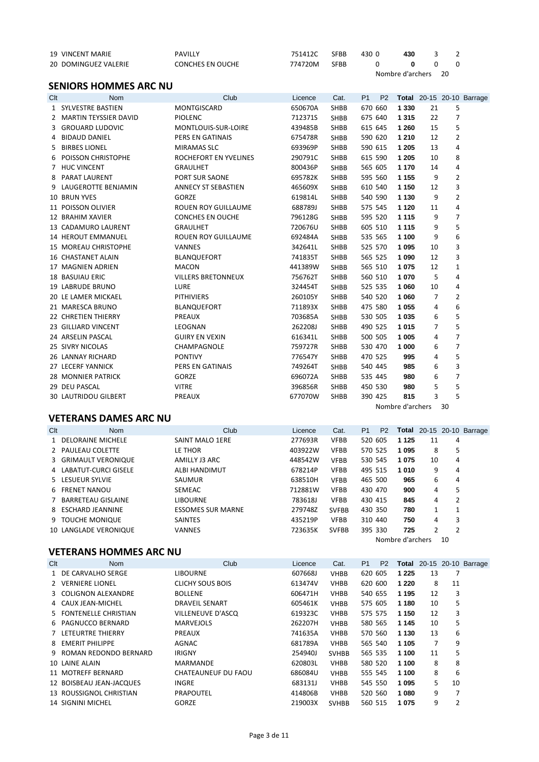| 19 VINCENT MARIE     | PAVILLY          | 751412C | <b>SFBB</b> | 430 O | 430              |    |  |
|----------------------|------------------|---------|-------------|-------|------------------|----|--|
| 20 DOMINGUEZ VALERIE | CONCHES EN OUCHE | 774720M | <b>SFBB</b> |       |                  |    |  |
|                      |                  |         |             |       | Nombre d'archers | 20 |  |

# **SENIORS HOMMES ARC NU**

| Clt | <b>Nom</b>                  | Club                       | Licence | Cat.        | P <sub>1</sub> | P <sub>2</sub> |                  |    |                | <b>Total</b> 20-15 20-10 Barrage |
|-----|-----------------------------|----------------------------|---------|-------------|----------------|----------------|------------------|----|----------------|----------------------------------|
|     | 1 SYLVESTRE BASTIEN         | <b>MONTGISCARD</b>         | 650670A | <b>SHBB</b> |                | 670 660        | 1 3 3 0          | 21 | 5              |                                  |
|     | 2 MARTIN TEYSSIER DAVID     | PIOLENC                    | 712371S | SHBB        |                | 675 640        | 1 3 1 5          | 22 | 7              |                                  |
| 3   | <b>GROUARD LUDOVIC</b>      | MONTLOUIS-SUR-LOIRE        | 439485B | SHBB        |                | 615 645        | 1 2 6 0          | 15 | 5              |                                  |
| 4   | <b>BIDAUD DANIEL</b>        | <b>PERS EN GATINAIS</b>    | 675478R | <b>SHBB</b> |                | 590 620        | 1 2 1 0          | 12 | $\overline{2}$ |                                  |
| 5.  | <b>BIRBES LIONEL</b>        | <b>MIRAMAS SLC</b>         | 693969P | <b>SHBB</b> |                | 590 615        | 1 2 0 5          | 13 | 4              |                                  |
| 6   | <b>POISSON CHRISTOPHE</b>   | ROCHEFORT EN YVELINES      | 290791C | <b>SHBB</b> |                | 615 590        | 1 2 0 5          | 10 | 8              |                                  |
|     | 7 HUC VINCENT               | <b>GRAULHET</b>            | 800436P | SHBB        |                | 565 605        | 1 1 7 0          | 14 | 4              |                                  |
| 8   | PARAT LAURENT               | PORT SUR SAONE             | 695782K | SHBB        |                | 595 560        | 1 1 5 5          | 9  | $\overline{2}$ |                                  |
| 9   | LAUGEROTTE BENJAMIN         | ANNECY ST SEBASTIEN        | 465609X | <b>SHBB</b> |                | 610 540        | 1 1 5 0          | 12 | 3              |                                  |
|     | 10 BRUN YVES                | <b>GORZE</b>               | 619814L | <b>SHBB</b> |                | 540 590        | 1 1 3 0          | 9  | $\overline{2}$ |                                  |
|     | 11 POISSON OLIVIER          | <b>ROUEN ROY GUILLAUME</b> | 688789J | <b>SHBB</b> |                | 575 545        | 1 1 2 0          | 11 | 4              |                                  |
|     | 12 BRAHIM XAVIER            | <b>CONCHES EN OUCHE</b>    | 796128G | <b>SHBB</b> |                | 595 520        | 1 1 1 5          | 9  | $\overline{7}$ |                                  |
|     | 13 CADAMURO LAURENT         | <b>GRAULHET</b>            | 720676U | SHBB        |                | 605 510        | 1 1 1 5          | 9  | 5              |                                  |
|     | <b>14 HEROUT EMMANUEL</b>   | <b>ROUEN ROY GUILLAUME</b> | 692484A | <b>SHBB</b> |                | 535 565        | 1 100            | 9  | 6              |                                  |
|     | <b>15 MOREAU CHRISTOPHE</b> | <b>VANNES</b>              | 342641L | SHBB        |                | 525 570        | 1 0 9 5          | 10 | 3              |                                  |
|     | 16 CHASTANET ALAIN          | <b>BLANQUEFORT</b>         | 741835T | <b>SHBB</b> |                | 565 525        | 1 0 9 0          | 12 | 3              |                                  |
|     | 17 MAGNIEN ADRIEN           | <b>MACON</b>               | 441389W | <b>SHBB</b> |                | 565 510        | 1 0 7 5          | 12 | $\mathbf{1}$   |                                  |
|     | <b>18 BASUIAU ERIC</b>      | <b>VILLERS BRETONNEUX</b>  | 756762T | <b>SHBB</b> |                | 560 510        | 1070             | 5  | 4              |                                  |
|     | <b>19 LABRUDE BRUNO</b>     | <b>LURE</b>                | 324454T | <b>SHBB</b> |                | 525 535        | 1 0 6 0          | 10 | 4              |                                  |
|     | 20 LE LAMER MICKAEL         | <b>PITHIVIERS</b>          | 260105Y | <b>SHBB</b> |                | 540 520        | 1 0 6 0          | 7  | $\overline{2}$ |                                  |
|     | 21 MARESCA BRUNO            | <b>BLANQUEFORT</b>         | 711893X | SHBB        |                | 475 580        | 1 0 5 5          | 4  | 6              |                                  |
|     | <b>22 CHRETIEN THIERRY</b>  | PREAUX                     | 703685A | <b>SHBB</b> |                | 530 505        | 1 0 3 5          | 6  | 5              |                                  |
|     | 23 GILLIARD VINCENT         | LEOGNAN                    | 262208J | <b>SHBB</b> |                | 490 525        | 1015             | 7  | 5              |                                  |
|     | 24 ARSELIN PASCAL           | <b>GUIRY EN VEXIN</b>      | 616341L | <b>SHBB</b> |                | 500 505        | 1 0 0 5          | 4  | $\overline{7}$ |                                  |
|     | 25 SIVRY NICOLAS            | CHAMPAGNOLE                | 759727R | <b>SHBB</b> |                | 530 470        | 1 000            | 6  | $\overline{7}$ |                                  |
|     | 26 LANNAY RICHARD           | <b>PONTIVY</b>             | 776547Y | <b>SHBB</b> |                | 470 525        | 995              | 4  | 5              |                                  |
|     | 27 LECERF YANNICK           | <b>PERS EN GATINAIS</b>    | 749264T | <b>SHBB</b> |                | 540 445        | 985              | 6  | 3              |                                  |
|     | 28 MONNIER PATRICK          | GORZE                      | 696072A | SHBB        |                | 535 445        | 980              | 6  | 7              |                                  |
|     | 29 DEU PASCAL               | <b>VITRE</b>               | 396856R | <b>SHBB</b> |                | 450 530        | 980              | 5  | 5              |                                  |
|     | <b>30 LAUTRIDOU GILBERT</b> | PREAUX                     | 677070W | <b>SHBB</b> |                | 390 425        | 815              | 3  | 5              |                                  |
|     |                             |                            |         |             |                |                | Nombre d'archers |    | 30             |                                  |

# **VETERANS DAMES ARC NU**

| Clt | <b>Nom</b>             | Club                     | Licence | Cat.         | P <sub>1</sub> | <b>P2</b> |                  |    |                | <b>Total</b> 20-15 20-10 Barrage |
|-----|------------------------|--------------------------|---------|--------------|----------------|-----------|------------------|----|----------------|----------------------------------|
|     | 1 DELORAINE MICHELE    | SAINT MALO 1ERE          | 277693R | <b>VFBB</b>  | 520 605        |           | 1 1 2 5          | 11 | 4              |                                  |
|     | 2 PAULEAU COLETTE      | LE THOR                  | 403922W | <b>VFBB</b>  | 570 525        |           | 1095             | 8  | 5              |                                  |
|     | 3 GRIMAULT VERONIQUE   | AMILLY J3 ARC            | 448542W | <b>VFBB</b>  | 530 545        |           | 1075             | 10 | 4              |                                  |
|     | 4 LABATUT-CURCI GISELE | ALBI HANDIMUT            | 678214P | <b>VFBB</b>  | 495 515        |           | 1010             | 9  | 4              |                                  |
|     | 5 LESUEUR SYLVIE       | <b>SAUMUR</b>            | 638510H | <b>VFBB</b>  | 465 500        |           | 965              | 6  | 4              |                                  |
|     | 6 FRENET NANOU         | <b>SEMEAC</b>            | 712881W | <b>VFBB</b>  | 430 470        |           | 900              | 4  | 5              |                                  |
|     | 7 BARRETEAU GISLAINE   | <b>LIBOURNE</b>          | 783618J | <b>VFBB</b>  | 430 415        |           | 845              | 4  | 2              |                                  |
|     | 8 ESCHARD JEANNINE     | <b>ESSOMES SUR MARNE</b> | 279748Z | <b>SVFBB</b> | 430 350        |           | 780              | 1  |                |                                  |
|     | 9 TOUCHE MONIQUE       | <b>SAINTES</b>           | 435219P | <b>VFBB</b>  | 310 440        |           | 750              | 4  | 3              |                                  |
|     | 10 LANGLADE VERONIQUE  | <b>VANNES</b>            | 723635K | <b>SVFBB</b> | 395 330        |           | 725              | 2  | $\overline{2}$ |                                  |
|     |                        |                          |         |              |                |           | Nombre d'archers |    | 10             |                                  |

## **VETERANS HOMMES ARC NU**

| Clt | <b>Nom</b>               | Club                    | Licence | Cat.         | P <sub>1</sub> | P <sub>2</sub> | Total   |    |                | 20-15 20-10 Barrage |
|-----|--------------------------|-------------------------|---------|--------------|----------------|----------------|---------|----|----------------|---------------------|
|     | 1 DE CARVALHO SERGE      | <b>LIBOURNE</b>         | 607668J | <b>VHBB</b>  | 620 605        |                | 1 2 2 5 | 13 | 7              |                     |
|     | 2 VERNIERE LIONEL        | <b>CLICHY SOUS BOIS</b> | 613474V | <b>VHBB</b>  | 620 600        |                | 1 2 2 0 | 8  | 11             |                     |
|     | 3 COLIGNON ALEXANDRE     | <b>BOLLENE</b>          | 606471H | <b>VHBB</b>  | 540 655        |                | 1 1 9 5 | 12 | 3              |                     |
|     | 4 CAUX JEAN-MICHEL       | <b>DRAVEIL SENART</b>   | 605461K | <b>VHBB</b>  | 575 605        |                | 1 1 8 0 | 10 | 5              |                     |
|     | 5 FONTENELLE CHRISTIAN   | VILLENEUVE D'ASCO       | 619323C | <b>VHBB</b>  | 575 575        |                | 1 150   | 12 | 3              |                     |
|     | 6 PAGNUCCO BERNARD       | <b>MARVEJOLS</b>        | 262207H | <b>VHBB</b>  | 580 565        |                | 1 1 4 5 | 10 | 5              |                     |
|     | 7 LETEURTRE THIERRY      | PREAUX                  | 741635A | <b>VHBB</b>  | 570 560        |                | 1 1 3 0 | 13 | 6              |                     |
|     | 8 EMERIT PHILIPPE        | AGNAC                   | 681789A | <b>VHBB</b>  | 565 540        |                | 1 1 0 5 | 7  | 9              |                     |
|     | 9 ROMAN REDONDO BERNARD  | <b>IRIGNY</b>           | 254940J | <b>SVHBB</b> | 565 535        |                | 1 100   | 11 | 5              |                     |
|     | 10 LAINE ALAIN           | <b>MARMANDE</b>         | 620803L | <b>VHBB</b>  | 580 520        |                | 1 100   | 8  | 8              |                     |
|     | 11 MOTREFF BERNARD       | CHATEAUNEUF DU FAOU     | 686084U | <b>VHBB</b>  | 555 545        |                | 1 100   | 8  | 6              |                     |
|     | 12 BOISBEAU JEAN-JACQUES | <b>INGRE</b>            | 683131J | <b>VHBB</b>  | 545 550        |                | 1095    | 5  | 10             |                     |
|     | 13 ROUSSIGNOL CHRISTIAN  | PRAPOUTEL               | 414806B | <b>VHBB</b>  | 520 560        |                | 1080    | 9  | 7              |                     |
|     | <b>14 SIGNINI MICHEL</b> | <b>GORZE</b>            | 219003X | <b>SVHBB</b> | 560 515        |                | 1075    | 9  | $\overline{2}$ |                     |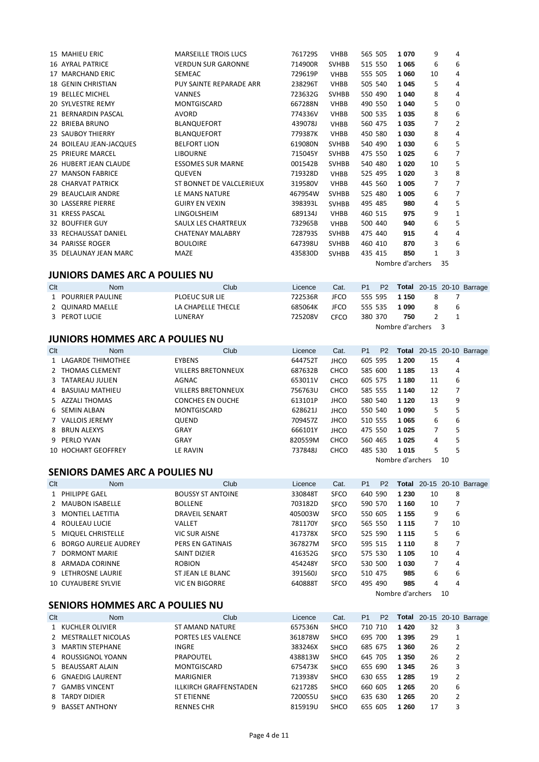| <b>15 MAHIEU ERIC</b>     | <b>MARSEILLE TROIS LUCS</b> | 761729S | <b>VHBB</b>  | 565 505 | 1070             | 9            | 4            |
|---------------------------|-----------------------------|---------|--------------|---------|------------------|--------------|--------------|
| 16 AYRAL PATRICE          | <b>VERDUN SUR GARONNE</b>   | 714900R | <b>SVHBB</b> | 515 550 | 1 0 6 5          | 6            | 6            |
| 17 MARCHAND ERIC          | SEMEAC                      | 729619P | <b>VHBB</b>  | 555 505 | 1 0 6 0          | 10           | 4            |
| <b>18 GENIN CHRISTIAN</b> | PUY SAINTE REPARADE ARR     | 238296T | <b>VHBB</b>  | 505 540 | 1 0 4 5          | 5            | 4            |
| 19 BELLEC MICHEL          | <b>VANNES</b>               | 723632G | <b>SVHBB</b> | 550 490 | 1 0 4 0          | 8            | 4            |
| <b>20 SYLVESTRE REMY</b>  | <b>MONTGISCARD</b>          | 667288N | <b>VHBB</b>  | 490 550 | 1 0 4 0          | 5            | 0            |
| 21 BERNARDIN PASCAL       | <b>AVORD</b>                | 774336V | <b>VHBB</b>  | 500 535 | 1 0 3 5          | 8            | 6            |
| 22 BRIEBA BRUNO           | BLANQUEFORT                 | 439078J | <b>VHBB</b>  | 560 475 | 1 0 3 5          | 7            | 2            |
| 23 SAUBOY THIERRY         | BLANQUEFORT                 | 779387K | <b>VHBB</b>  | 450 580 | 1 0 3 0          | 8            | 4            |
| 24 BOILEAU JEAN-JACQUES   | <b>BELFORT LION</b>         | 619080N | <b>SVHBB</b> | 540 490 | 1 0 3 0          | 6            | 5            |
| 25 PRIEURE MARCEL         | <b>LIBOURNE</b>             | 715045Y | <b>SVHBB</b> | 475 550 | 1 0 2 5          | 6            | 7            |
| 26 HUBERT JEAN CLAUDE     | <b>ESSOMES SUR MARNE</b>    | 001542B | <b>SVHBB</b> | 540 480 | 1020             | 10           | 5            |
| 27 MANSON FABRICE         | <b>QUEVEN</b>               | 719328D | <b>VHBB</b>  | 525 495 | 1 0 2 0          | 3            | 8            |
| 28 CHARVAT PATRICK        | ST BONNET DE VALCLERIEUX    | 319580V | <b>VHBB</b>  | 445 560 | 1 0 0 5          | 7            | 7            |
| 29 BEAUCLAIR ANDRE        | LE MANS NATURE              | 467954W | <b>SVHBB</b> | 525 480 | 1 0 0 5          | 6            | 7            |
| <b>30 LASSERRE PIERRE</b> | <b>GUIRY EN VEXIN</b>       | 398393L | <b>SVHBB</b> | 495 485 | 980              | 4            | 5            |
| 31 KRESS PASCAL           | LINGOLSHEIM                 | 689134J | <b>VHBB</b>  | 460 515 | 975              | 9            | $\mathbf{1}$ |
| <b>32 BOUFFIER GUY</b>    | SAULX LES CHARTREUX         | 732965B | <b>VHBB</b>  | 500 440 | 940              | 6            | 5            |
| 33 RECHAUSSAT DANIEL      | <b>CHATENAY MALABRY</b>     | 728793S | <b>SVHBB</b> | 475 440 | 915              | 4            | 4            |
| 34 PARISSE ROGER          | <b>BOULOIRE</b>             | 647398U | <b>SVHBB</b> | 460 410 | 870              | 3            | 6            |
| 35 DELAUNAY JEAN MARC     | MAZE                        | 435830D | <b>SVHBB</b> | 435 415 | 850              | $\mathbf{1}$ | 3            |
|                           |                             |         |              |         | Nombre d'archers |              | 35           |

**JUNIORS DAMES ARC A POULIES NU**

| Clt | Nom                | Club                  | Licence | Cat.        |         |         |                  |   | P1 P2 Total 20-15 20-10 Barrage |
|-----|--------------------|-----------------------|---------|-------------|---------|---------|------------------|---|---------------------------------|
|     | 1 POURRIER PAULINE | <b>PLOEUC SUR LIE</b> | 722536R | <b>JFCO</b> |         | 555 595 | 1 150            | 8 |                                 |
|     | 2 QUINARD MAELLE   | LA CHAPELLE THECLE    | 685064K | JFCO        | 555 535 |         | 1090             |   | b                               |
|     | 3 PEROT LUCIE      | LUNERAY               | 725208V | CFCO        | 380 370 |         | 750              |   |                                 |
|     |                    |                       |         |             |         |         | Nombre d'archers |   |                                 |

#### **JUNIORS HOMMES ARC A POULIES NU**

| Clt | <b>Nom</b>          | Club                      | Licence | Cat.        | P <sub>1</sub> | P <sub>2</sub> |                  |    |    | <b>Total</b> 20-15 20-10 Barrage |
|-----|---------------------|---------------------------|---------|-------------|----------------|----------------|------------------|----|----|----------------------------------|
|     | 1 LAGARDE THIMOTHEE | <b>EYBENS</b>             | 644752T | <b>JHCO</b> | 605 595        |                | 1 200            | 15 | 4  |                                  |
|     | 2 THOMAS CLEMENT    | <b>VILLERS BRETONNEUX</b> | 687632B | <b>CHCO</b> | 585 600        |                | 1 1 8 5          | 13 | 4  |                                  |
|     | 3 TATAREAU JULIEN   | AGNAC                     | 653011V | <b>CHCO</b> | 605 575        |                | 1 1 8 0          | 11 | 6  |                                  |
|     | 4 BASUIAU MATHIEU   | <b>VILLERS BRETONNEUX</b> | 756763U | <b>CHCO</b> | 585 555        |                | 1 1 4 0          | 12 |    |                                  |
|     | 5 AZZALI THOMAS     | <b>CONCHES EN OUCHE</b>   | 613101P | <b>JHCO</b> | 580 540        |                | 1 1 2 0          | 13 | 9  |                                  |
|     | 6 SEMIN ALBAN       | <b>MONTGISCARD</b>        | 628621J | <b>JHCO</b> | 550 540        |                | 1 0 9 0          | 5  | 5  |                                  |
|     | 7 VALLOIS JEREMY    | <b>QUEND</b>              | 709457Z | <b>JHCO</b> | 510 555        |                | 1065             | 6  | 6  |                                  |
|     | 8 BRUN ALEXYS       | GRAY                      | 666101Y | <b>JHCO</b> | 475 550        |                | 1 0 2 5          |    | 5  |                                  |
|     | 9 PERLO YVAN        | GRAY                      | 820559M | <b>CHCO</b> | 560 465        |                | 1025             | 4  | 5  |                                  |
|     | 10 HOCHART GEOFFREY | LE RAVIN                  | 737848J | <b>CHCO</b> | 485 530        |                | 1015             | 5  | 5  |                                  |
|     |                     |                           |         |             |                |                | Nombre d'archers |    | 10 |                                  |

# **SENIORS DAMES ARC A POULIES NU**

| Clt | <b>Nom</b>             | Club                     | Licence | Cat.        | P <sub>1</sub> | P <sub>2</sub> | Total            |    |    | 20-15 20-10 Barrage |
|-----|------------------------|--------------------------|---------|-------------|----------------|----------------|------------------|----|----|---------------------|
|     | 1 PHILIPPE GAEL        | <b>BOUSSY ST ANTOINE</b> | 330848T | <b>SFCO</b> | 640 590        |                | 1 2 3 0          | 10 | 8  |                     |
|     | 2 MAUBON ISABELLE      | <b>BOLLENE</b>           | 703182D | <b>SFCO</b> | 590 570        |                | 1 1 6 0          | 10 |    |                     |
|     | 3 MONTIEL LAETITIA     | <b>DRAVEIL SENART</b>    | 405003W | <b>SFCO</b> | 550 605        |                | 1 1 5 5          | 9  | 6  |                     |
|     | 4 ROULEAU LUCIE        | VALLET                   | 781170Y | <b>SFCO</b> | 565 550        |                | 1 1 1 5          | 7  | 10 |                     |
|     | 5 MIQUEL CHRISTELLE    | <b>VIC SUR AISNE</b>     | 417378X | <b>SFCO</b> | 525 590        |                | 1 1 1 5          | 5  | 6  |                     |
|     | 6 BORGO AURELIE AUDREY | PERS EN GATINAIS         | 367827M | <b>SFCO</b> | 595 515        |                | 1 1 1 0          | 8  |    |                     |
|     | 7 DORMONT MARIE        | <b>SAINT DIZIER</b>      | 416352G | <b>SFCO</b> | 575 530        |                | 1 1 0 5          | 10 | 4  |                     |
|     | 8 ARMADA CORINNE       | <b>ROBION</b>            | 454248Y | <b>SFCO</b> | 530 500        |                | 1 0 3 0          | 7  | 4  |                     |
|     | 9 LETHROSNE LAURIE     | ST JEAN LE BLANC         | 391560J | <b>SFCO</b> | 510 475        |                | 985              | 6  | 6  |                     |
|     | 10 CUYAUBERE SYLVIE    | <b>VIC EN BIGORRE</b>    | 640888T | <b>SFCO</b> | 495 490        |                | 985              | 4  | 4  |                     |
|     |                        |                          |         |             |                |                | Nombre d'archers |    | 10 |                     |

#### **SENIORS HOMMES ARC A POULIES NU**

| Clt | <b>Nom</b>           | Club                          | Licence | Cat.        | P <sub>1</sub> | P <sub>2</sub> |         |    |   | <b>Total</b> 20-15 20-10 Barrage |
|-----|----------------------|-------------------------------|---------|-------------|----------------|----------------|---------|----|---|----------------------------------|
|     | 1 KUCHLER OLIVIER    | ST AMAND NATURE               | 657536N | <b>SHCO</b> | 710 710        |                | 1420    | 32 | 3 |                                  |
|     | 2 MESTRALLET NICOLAS | <b>PORTES LES VALENCE</b>     | 361878W | <b>SHCO</b> | 695 700        |                | 1 3 9 5 | 29 |   |                                  |
|     | 3 MARTIN STEPHANE    | INGRE                         | 383246X | <b>SHCO</b> | 685 675        |                | 1 360   | 26 | 2 |                                  |
|     | 4 ROUSSIGNOL YOANN   | <b>PRAPOUTEL</b>              | 438813W | <b>SHCO</b> | 645 705        |                | 1 350   | 26 | 2 |                                  |
|     | 5 BEAUSSART ALAIN    | <b>MONTGISCARD</b>            | 675473K | <b>SHCO</b> | 655 690        |                | 1 3 4 5 | 26 | 3 |                                  |
|     | 6 GNAEDIG LAURENT    | <b>MARIGNIER</b>              | 713938V | <b>SHCO</b> | 630 655        |                | 1 2 8 5 | 19 | 2 |                                  |
|     | 7 GAMBS VINCENT      | <b>ILLKIRCH GRAFFENSTADEN</b> | 621728S | <b>SHCO</b> | 660 605        |                | 1 265   | 20 | 6 |                                  |
|     | 8 TARDY DIDIER       | <b>ST ETIENNE</b>             | 720055U | <b>SHCO</b> | 635 630        |                | 1 2 6 5 | 20 | 2 |                                  |
|     | 9 BASSET ANTHONY     | <b>RENNES CHR</b>             | 815919U | <b>SHCO</b> | 655 605        |                | 1 260   | 17 | 3 |                                  |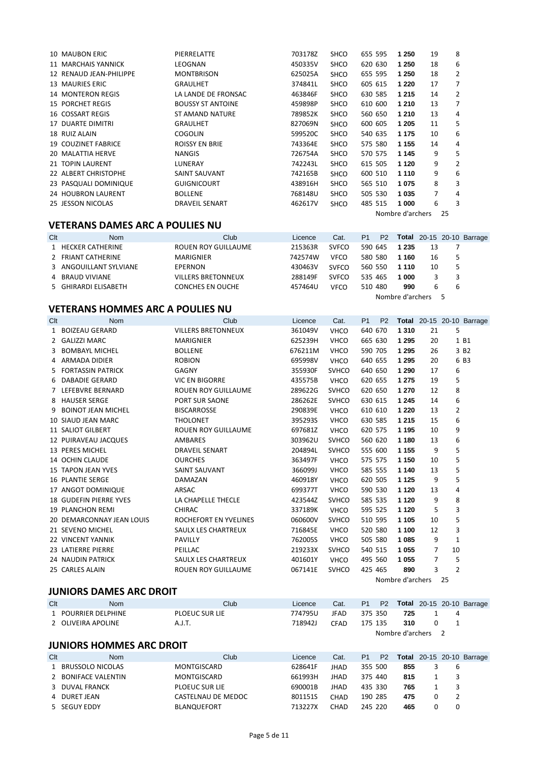| 10 MAUBON ERIC             | PIERRELATTE              | 703178Z | <b>SHCO</b> | 655 595 | 1 250            | 19             | 8 |
|----------------------------|--------------------------|---------|-------------|---------|------------------|----------------|---|
| 11 MARCHAIS YANNICK        | LEOGNAN                  | 450335V | <b>SHCO</b> | 620 630 | 1 250            | 18             | 6 |
| 12 RENAUD JEAN-PHILIPPE    | <b>MONTBRISON</b>        | 625025A | <b>SHCO</b> | 655 595 | 1 250            | 18             | 2 |
| 13 MAURIES ERIC            | <b>GRAULHET</b>          | 374841L | <b>SHCO</b> | 605 615 | 1 2 2 0          | 17             |   |
| <b>14 MONTERON REGIS</b>   | LA LANDE DE FRONSAC      | 463846F | <b>SHCO</b> | 630 585 | 1 2 1 5          | 14             | 2 |
| <b>15 PORCHET REGIS</b>    | <b>BOUSSY ST ANTOINE</b> | 459898P | <b>SHCO</b> | 610 600 | 1 2 1 0          | 13             | 7 |
| <b>16 COSSART REGIS</b>    | <b>ST AMAND NATURE</b>   | 789852K | <b>SHCO</b> | 560 650 | 1 2 1 0          | 13             | 4 |
| 17 DUARTE DIMITRI          | <b>GRAULHET</b>          | 827069N | <b>SHCO</b> | 600 605 | 1 205            | 11             | 5 |
| 18 RUIZ ALAIN              | <b>COGOLIN</b>           | 599520C | <b>SHCO</b> | 540 635 | 1 1 7 5          | 10             | 6 |
| <b>19 COUZINET FABRICE</b> | <b>ROISSY EN BRIE</b>    | 743364E | <b>SHCO</b> | 575 580 | 1 1 5 5          | 14             | 4 |
| 20 MALATTIA HERVE          | NANGIS                   | 726754A | <b>SHCO</b> | 570 575 | 1 1 4 5          | 9              | 5 |
| 21 TOPIN LAURENT           | LUNERAY                  | 742243L | <b>SHCO</b> | 615 505 | 1 1 2 0          | 9              | 2 |
| 22 ALBERT CHRISTOPHE       | SAINT SAUVANT            | 742165B | <b>SHCO</b> | 600 510 | 1 1 1 0          | 9              | 6 |
| 23 PASQUALI DOMINIQUE      | <b>GUIGNICOURT</b>       | 438916H | <b>SHCO</b> | 565 510 | 1075             | 8              | 3 |
| 24 HOUBRON LAURENT         | <b>BOLLENE</b>           | 768148U | <b>SHCO</b> | 505 530 | 1 0 3 5          | $\overline{7}$ | 4 |
| 25 JESSON NICOLAS          | <b>DRAVEIL SENART</b>    | 462617V | <b>SHCO</b> | 485 515 | 1 000            | 6              | 3 |
|                            |                          |         |             |         | Nombre d'archers | 25             |   |

#### **VETERANS DAMES ARC A POULIES NU**

| Clt | <b>Nom</b>             | Club                      | Licence | Cat.         | P <sub>1</sub> | P <sub>2</sub> |                  |    |   | <b>Total</b> 20-15 20-10 Barrage |
|-----|------------------------|---------------------------|---------|--------------|----------------|----------------|------------------|----|---|----------------------------------|
|     | 1 HECKER CATHERINE     | ROUEN ROY GUILLAUME       | 215363R | <b>SVFCO</b> | 590 645        |                | 1 2 3 5          | 13 |   |                                  |
|     | 2 FRIANT CATHERINE     | <b>MARIGNIER</b>          | 742574W | <b>VFCO</b>  | 580 580        |                | 1 1 6 0          | 16 |   |                                  |
|     | 3 ANGOUILLANT SYLVIANE | EPERNON                   | 430463V | <b>SVFCO</b> | 560 550        |                | 1 1 1 0          | 10 |   |                                  |
|     | 4 BRAUD VIVIANE        | <b>VILLERS BRETONNEUX</b> | 288149F | <b>SVFCO</b> | 535 465        |                | 1 000            |    |   |                                  |
|     | 5 GHIRARDI ELISABETH   | <b>CONCHES EN OUCHE</b>   | 457464U | <b>VFCO</b>  | 510 480        |                | 990              | b  | b |                                  |
|     |                        |                           |         |              |                |                | Nombre d'archers |    |   |                                  |

#### **VETERANS HOMMES ARC A POULIES NU**

| Clt | <b>Nom</b>                    | Club                       | Licence | Cat.         | P <sub>1</sub> | P <sub>2</sub> |                  |    |                | Total 20-15 20-10 Barrage |
|-----|-------------------------------|----------------------------|---------|--------------|----------------|----------------|------------------|----|----------------|---------------------------|
|     | 1 BOIZEAU GERARD              | <b>VILLERS BRETONNEUX</b>  | 361049V | <b>VHCO</b>  | 640 670        |                | 1 3 1 0          | 21 | 5              |                           |
|     | 2 GALIZZI MARC                | MARIGNIER                  | 625239H | <b>VHCO</b>  | 665 630        |                | 1 2 9 5          | 20 |                | 1 B1                      |
|     | 3 BOMBAYL MICHEL              | <b>BOLLENE</b>             | 676211M | <b>VHCO</b>  | 590 705        |                | 1 2 9 5          | 26 |                | 3 B <sub>2</sub>          |
|     | 4 ARMADA DIDIER               | <b>ROBION</b>              | 695998V | <b>VHCO</b>  | 640 655        |                | 1 2 9 5          | 20 |                | 6 B3                      |
|     | 5 FORTASSIN PATRICK           | <b>GAGNY</b>               | 355930F | <b>SVHCO</b> | 640 650        |                | 1 2 9 0          | 17 | 6              |                           |
|     | 6 DABADIE GERARD              | <b>VIC EN BIGORRE</b>      | 435575B | <b>VHCO</b>  | 620 655        |                | 1 2 7 5          | 19 | 5              |                           |
|     | 7 LEFEBVRE BERNARD            | <b>ROUEN ROY GUILLAUME</b> | 289622G | <b>SVHCO</b> | 620 650        |                | 1 2 7 0          | 12 | 8              |                           |
|     | 8 HAUSER SERGE                | PORT SUR SAONE             | 286262E | <b>SVHCO</b> | 630 615        |                | 1 2 4 5          | 14 | 6              |                           |
| 9   | <b>BOINOT JEAN MICHEL</b>     | <b>BISCARROSSE</b>         | 290839E | <b>VHCO</b>  | 610 610        |                | 1 2 2 0          | 13 | $\overline{2}$ |                           |
|     | 10 SIAUD JEAN MARC            | <b>THOLONET</b>            | 395293S | <b>VHCO</b>  | 630 585        |                | 1 2 1 5          | 15 | 6              |                           |
|     | 11 SALIOT GILBERT             | <b>ROUEN ROY GUILLAUME</b> | 697681Z | <b>VHCO</b>  | 620 575        |                | 1 1 9 5          | 10 | 9              |                           |
|     | 12 PUIRAVEAU JACQUES          | AMBARES                    | 303962U | <b>SVHCO</b> | 560 620        |                | 1 1 8 0          | 13 | 6              |                           |
|     | 13 PERES MICHEL               | <b>DRAVEIL SENART</b>      | 204894L | <b>SVHCO</b> | 555 600        |                | 1 1 5 5          | 9  | 5              |                           |
|     | 14 OCHIN CLAUDE               | <b>OURCHES</b>             | 363497F | <b>VHCO</b>  | 575 575        |                | 1 1 5 0          | 10 | 5              |                           |
|     | 15 TAPON JEAN YVES            | SAINT SAUVANT              | 366099J | <b>VHCO</b>  | 585 555        |                | 1 140            | 13 | 5              |                           |
|     | <b>16 PLANTIE SERGE</b>       | DAMAZAN                    | 460918Y | <b>VHCO</b>  | 620 505        |                | 1 1 2 5          | 9  | 5              |                           |
|     | 17 ANGOT DOMINIQUE            | ARSAC                      | 699377T | <b>VHCO</b>  | 590 530        |                | 1 1 2 0          | 13 | 4              |                           |
|     | <b>18 GUDEFIN PIERRE YVES</b> | LA CHAPELLE THECLE         | 423544Z | <b>SVHCO</b> | 585 535        |                | 1 1 2 0          | 9  | 8              |                           |
|     | <b>19 PLANCHON REMI</b>       | <b>CHIRAC</b>              | 337189K | <b>VHCO</b>  | 595 525        |                | 1 1 2 0          | 5  | 3              |                           |
|     | 20 DEMARCONNAY JEAN LOUIS     | ROCHEFORT EN YVELINES      | 060600V | <b>SVHCO</b> | 510 595        |                | 1 1 0 5          | 10 | 5              |                           |
|     | 21 SEVENO MICHEL              | SAULX LES CHARTREUX        | 716845E | <b>VHCO</b>  | 520 580        |                | 1 100            | 12 | 3              |                           |
|     | 22 VINCENT YANNIK             | <b>PAVILLY</b>             | 762005S | <b>VHCO</b>  | 505 580        |                | 1 0 8 5          | 9  | $\mathbf{1}$   |                           |
|     | 23 LATIERRE PIERRE            | PEILLAC                    | 219233X | <b>SVHCO</b> | 540 515        |                | 1 0 5 5          | 7  | 10             |                           |
|     | 24 NAUDIN PATRICK             | SAULX LES CHARTREUX        | 401601Y | <b>VHCO</b>  | 495 560        |                | 1 0 5 5          | 7  | 5              |                           |
|     | 25 CARLES ALAIN               | <b>ROUEN ROY GUILLAUME</b> | 067141E | <b>SVHCO</b> | 425 465        |                | 890              | 3  | $\overline{2}$ |                           |
|     |                               |                            |         |              |                |                | Nombre d'archers |    | 25             |                           |

#### **JUNIORS DAMES ARC DROIT**

| Clt | Nom                 | Club                  | Licence | Cat.        |         |                    |   | P1 P2 Total 20-15 20-10 Barrage |
|-----|---------------------|-----------------------|---------|-------------|---------|--------------------|---|---------------------------------|
|     | 1 POURRIER DELPHINE | <b>PLOEUC SUR LIE</b> | 774795U | JFAD        | 375 350 | 725                | 4 |                                 |
|     | 2 OLIVEIRA APOLINE  | A.J.T.                | 718942J | <b>CFAD</b> | 175 135 | 310                |   |                                 |
|     |                     |                       |         |             |         | Nombre d'archers 2 |   |                                 |

# **JUNIORS HOMMES ARC DROIT**

| Clt | Nom                 | Club               | Licence | Cat.        | P <sub>1</sub> | P <sub>2</sub> |     |   | <b>Total</b> 20-15 20-10 Barrage |
|-----|---------------------|--------------------|---------|-------------|----------------|----------------|-----|---|----------------------------------|
|     | 1 BRUSSOLO NICOLAS  | MONTGISCARD        | 628641F | <b>JHAD</b> | 355 500        |                | 855 | b |                                  |
|     | 2 BONIFACE VALENTIN | MONTGISCARD        | 661993H | JHAD        | 375 440        |                | 815 |   |                                  |
|     | 3 DUVAL FRANCK      | PLOEUC SUR LIE     | 690001B | <b>JHAD</b> | 435 330        |                | 765 |   |                                  |
|     | 4 DURET JEAN        | CASTELNAU DE MEDOC | 801151S | CHAD        | 190 285        |                | 475 |   |                                  |
|     | 5 SEGUY EDDY        | <b>BLANQUEFORT</b> | 713227X | CHAD        | 245 220        |                | 465 | 0 |                                  |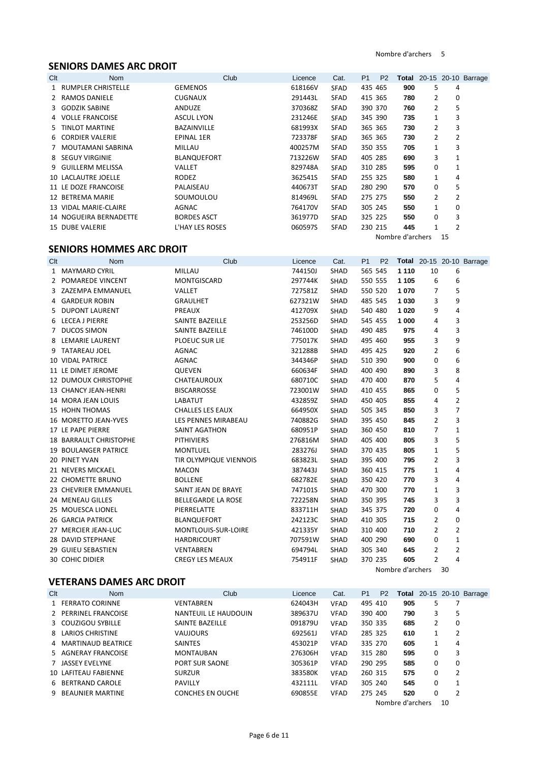Nombre d'archers 5

# **SENIORS DAMES ARC DROIT**

| Clt | <b>Nom</b>             | Club               | Licence | Cat.        | P <sub>1</sub> | <b>P2</b> |     |                |          | <b>Total</b> 20-15 20-10 Barrage |
|-----|------------------------|--------------------|---------|-------------|----------------|-----------|-----|----------------|----------|----------------------------------|
|     | 1 RUMPLER CHRISTELLE   | <b>GEMENOS</b>     | 618166V | <b>SFAD</b> | 435 465        |           | 900 | 5              | 4        |                                  |
|     | 2 RAMOS DANIELE        | <b>CUGNAUX</b>     | 291443L | SFAD        | 415 365        |           | 780 | 2              | 0        |                                  |
|     | 3 GODZIK SABINE        | ANDUZE             | 370368Z | <b>SFAD</b> | 390 370        |           | 760 | $\overline{2}$ | 5        |                                  |
|     | 4 VOLLE FRANCOISE      | <b>ASCUL LYON</b>  | 231246E | <b>SFAD</b> | 345 390        |           | 735 | 1              | 3        |                                  |
| 5.  | <b>TINLOT MARTINE</b>  | <b>BAZAINVILLE</b> | 681993X | <b>SFAD</b> | 365 365        |           | 730 | 2              | 3        |                                  |
|     | 6 CORDIER VALERIE      | <b>EPINAL 1ER</b>  | 723378F | <b>SFAD</b> | 365 365        |           | 730 | $\overline{2}$ | 2        |                                  |
|     | 7 MOUTAMANI SABRINA    | MILLAU             | 400257M | <b>SFAD</b> | 350 355        |           | 705 | 1              | 3        |                                  |
|     | 8 SEGUY VIRGINIE       | <b>BLANQUEFORT</b> | 713226W | <b>SFAD</b> | 405 285        |           | 690 | 3              | 1        |                                  |
|     | 9 GUILLERM MELISSA     | VALLET             | 829748A | <b>SFAD</b> | 310 285        |           | 595 | $\Omega$       | 1        |                                  |
|     | 10 LACLAUTRE JOELLE    | <b>RODEZ</b>       | 362541S | <b>SFAD</b> | 255 325        |           | 580 | 1              | 4        |                                  |
|     | 11 LE DOZE FRANCOISE   | PALAISEAU          | 440673T | <b>SFAD</b> | 280 290        |           | 570 | 0              | 5        |                                  |
|     | 12 BETREMA MARIE       | SOUMOULOU          | 814969L | <b>SFAD</b> | 275 275        |           | 550 | $\overline{2}$ | 2        |                                  |
|     | 13 VIDAL MARIE-CLAIRE  | AGNAC              | 764170V | <b>SFAD</b> | 305 245        |           | 550 | 1              | $\Omega$ |                                  |
|     | 14 NOGUEIRA BERNADETTE | <b>BORDES ASCT</b> | 361977D | <b>SFAD</b> | 325 225        |           | 550 | 0              | 3        |                                  |
|     | 15 DUBE VALERIE        | L'HAY LES ROSES    | 060597S | <b>SFAD</b> | 230 215        |           | 445 | 1              | 2        |                                  |

Nombre d'archers 15

# **SENIORS HOMMES ARC DROIT**

| Clt | <b>Nom</b>                    | Club                    | Licence | Cat.        | P <sub>1</sub> | P <sub>2</sub>   |         |                |                | <b>Total</b> 20-15 20-10 Barrage |
|-----|-------------------------------|-------------------------|---------|-------------|----------------|------------------|---------|----------------|----------------|----------------------------------|
|     | 1 MAYMARD CYRIL               | MILLAU                  | 744150J | SHAD        |                | 565 545          | 1 1 1 0 | 10             | 6              |                                  |
|     | 2 POMAREDE VINCENT            | MONTGISCARD             | 297744K | SHAD        |                | 550 555          | 1 1 0 5 | 6              | 6              |                                  |
|     | 3 ZAZEMPA EMMANUEL            | VALLET                  | 727581Z | SHAD        |                | 550 520          | 1070    | 7              | 5              |                                  |
|     | 4 GARDEUR ROBIN               | <b>GRAULHET</b>         | 627321W | <b>SHAD</b> |                | 485 545          | 1 0 3 0 | 3              | 9              |                                  |
|     | 5 DUPONT LAURENT              | PREAUX                  | 412709X | <b>SHAD</b> |                | 540 480          | 1 0 2 0 | 9              | 4              |                                  |
|     | 6 LECEA J PIERRE              | SAINTE BAZEILLE         | 253256D | <b>SHAD</b> |                | 545 455          | 1 000   | 4              | 3              |                                  |
|     | 7 DUCOS SIMON                 | SAINTE BAZEILLE         | 746100D | <b>SHAD</b> |                | 490 485          | 975     | 4              | 3              |                                  |
|     | 8 LEMARIE LAURENT             | PLOEUC SUR LIE          | 775017K | <b>SHAD</b> |                | 495 460          | 955     | 3              | 9              |                                  |
|     | 9 TATAREAU JOEL               | <b>AGNAC</b>            | 321288B | <b>SHAD</b> |                | 495 425          | 920     | 2              | 6              |                                  |
|     | <b>10 VIDAL PATRICE</b>       | <b>AGNAC</b>            | 344346P | SHAD        |                | 510 390          | 900     | 0              | 6              |                                  |
|     | 11 LE DIMET JEROME            | QUEVEN                  | 660634F | <b>SHAD</b> |                | 400 490          | 890     | 3              | 8              |                                  |
|     | <b>12 DUMOUX CHRISTOPHE</b>   | CHATEAUROUX             | 680710C | SHAD        |                | 470 400          | 870     | 5              | 4              |                                  |
|     | 13 CHANCY JEAN-HENRI          | <b>BISCARROSSE</b>      | 723001W | <b>SHAD</b> |                | 410 455          | 865     | 0              | 5              |                                  |
|     | 14 MORA JEAN LOUIS            | LABATUT                 | 432859Z | SHAD        |                | 450 405          | 855     | 4              | $\overline{2}$ |                                  |
|     | <b>15 HOHN THOMAS</b>         | <b>CHALLES LES EAUX</b> | 664950X | <b>SHAD</b> |                | 505 345          | 850     | 3              | $\overline{7}$ |                                  |
|     | 16 MORETTO JEAN-YVES          | LES PENNES MIRABEAU     | 740882G | <b>SHAD</b> |                | 395 450          | 845     | $\overline{2}$ | 3              |                                  |
|     | 17 LE PAPE PIERRE             | SAINT AGATHON           | 680951P | <b>SHAD</b> |                | 360 450          | 810     | 7              | $\mathbf{1}$   |                                  |
|     | <b>18 BARRAULT CHRISTOPHE</b> | <b>PITHIVIERS</b>       | 276816M | <b>SHAD</b> |                | 405 400          | 805     | 3              | 5              |                                  |
|     | <b>19 BOULANGER PATRICE</b>   | <b>MONTLUEL</b>         | 283276J | <b>SHAD</b> |                | 370 435          | 805     | 1              | 5              |                                  |
|     | 20 PINET YVAN                 | TIR OLYMPIQUE VIENNOIS  | 683823L | SHAD        |                | 395 400          | 795     | 2              | 3              |                                  |
|     | 21 NEVERS MICKAEL             | <b>MACON</b>            | 387443J | <b>SHAD</b> |                | 360 415          | 775     | 1              | 4              |                                  |
|     | 22 CHOMETTE BRUNO             | <b>BOLLENE</b>          | 682782E | <b>SHAD</b> |                | 350 420          | 770     | 3              | 4              |                                  |
|     | 23 CHEVRIER EMMANUEL          | SAINT JEAN DE BRAYE     | 747101S | <b>SHAD</b> |                | 470 300          | 770     | 1              | 3              |                                  |
|     | 24 MENEAU GILLES              | BELLEGARDE LA ROSE      | 722258N | <b>SHAD</b> |                | 350 395          | 745     | 3              | 3              |                                  |
|     | 25 MOUESCA LIONEL             | PIERRELATTE             | 833711H | SHAD        |                | 345 375          | 720     | 0              | 4              |                                  |
|     | 26 GARCIA PATRICK             | BLANQUEFORT             | 242123C | <b>SHAD</b> |                | 410 305          | 715     | 2              | $\mathbf 0$    |                                  |
|     | 27 MERCIER JEAN-LUC           | MONTLOUIS-SUR-LOIRE     | 421335Y | <b>SHAD</b> |                | 310 400          | 710     | 2              | $\overline{2}$ |                                  |
|     | 28 DAVID STEPHANE             | <b>HARDRICOURT</b>      | 707591W | SHAD        |                | 400 290          | 690     | 0              | $\mathbf{1}$   |                                  |
|     | 29 GUIEU SEBASTIEN            | <b>VENTABREN</b>        | 694794L | <b>SHAD</b> |                | 305 340          | 645     | 2              | $\overline{2}$ |                                  |
|     | <b>30 COHIC DIDIER</b>        | <b>CREGY LES MEAUX</b>  | 754911F | <b>SHAD</b> |                | 370 235          | 605     | $\overline{2}$ | 4              |                                  |
|     |                               |                         |         |             |                | Nombre d'archers |         |                | 30             |                                  |

# **VETERANS DAMES ARC DROIT**

| Clt | <b>Nom</b>           | Club                    | Licence | Cat.        | P <sub>1</sub> | P <sub>2</sub> |     |   |   | <b>Total</b> 20-15 20-10 Barrage |
|-----|----------------------|-------------------------|---------|-------------|----------------|----------------|-----|---|---|----------------------------------|
|     | 1 FERRATO CORINNE    | <b>VENTABREN</b>        | 624043H | <b>VFAD</b> | 495 410        |                | 905 | 5 |   |                                  |
|     | 2 PERRINEL FRANCOISE | NANTEUIL LE HAUDOUIN    | 389637U | <b>VFAD</b> | 390 400        |                | 790 | 3 | 5 |                                  |
|     | 3 COUZIGOU SYBILLE   | SAINTE BAZEILLE         | 091879U | <b>VFAD</b> | 350 335        |                | 685 | 2 | 0 |                                  |
|     | 8 LARIOS CHRISTINE   | <b>VAUJOURS</b>         | 692561J | <b>VFAD</b> | 285 325        |                | 610 | 1 | 2 |                                  |
|     | 4 MARTINAUD BEATRICE | <b>SAINTES</b>          | 453021P | <b>VFAD</b> | 335 270        |                | 605 | 1 | 4 |                                  |
|     | 5 AGNERAY FRANCOISE  | <b>MONTAUBAN</b>        | 276306H | <b>VFAD</b> | 315 280        |                | 595 | 0 | 3 |                                  |
|     | 7 JASSEY EVELYNE     | <b>PORT SUR SAONE</b>   | 305361P | <b>VFAD</b> | 290 295        |                | 585 | 0 | 0 |                                  |
|     | 10 LAFITEAU FABIENNE | <b>SURZUR</b>           | 383580K | <b>VFAD</b> | 260 315        |                | 575 | 0 | 2 |                                  |
|     | 6 BERTRAND CAROLE    | <b>PAVILLY</b>          | 432111L | <b>VFAD</b> | 305 240        |                | 545 | 0 | 1 |                                  |
|     | 9 BEAUNIER MARTINE   | <b>CONCHES EN OUCHE</b> | 690855E | <b>VFAD</b> | 275 245        |                | 520 | 0 | 2 |                                  |
|     |                      |                         |         |             |                |                |     |   |   |                                  |

Nombre d'archers 10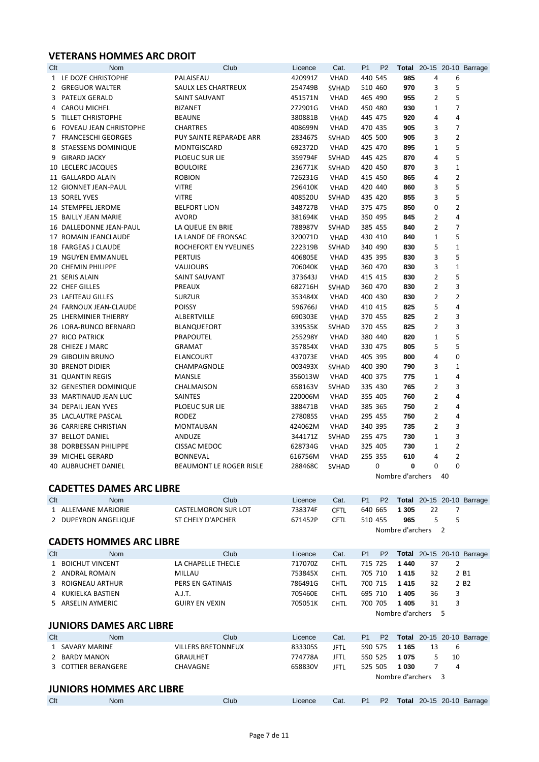# **VETERANS HOMMES ARC DROIT**

| Clt | <b>Nom</b>                | Club                    | Licence | Cat.         | P <sub>1</sub> | P <sub>2</sub> |                  |                |                | <b>Total</b> 20-15 20-10 Barrage |
|-----|---------------------------|-------------------------|---------|--------------|----------------|----------------|------------------|----------------|----------------|----------------------------------|
|     | 1 LE DOZE CHRISTOPHE      | PALAISEAU               | 420991Z | <b>VHAD</b>  |                | 440 545        | 985              | 4              | 6              |                                  |
|     | 2 GREGUOR WALTER          | SAULX LES CHARTREUX     | 254749B | <b>SVHAD</b> |                | 510 460        | 970              | 3              | 5              |                                  |
|     | 3 PATEUX GERALD           | SAINT SAUVANT           | 451571N | <b>VHAD</b>  |                | 465 490        | 955              | $\overline{2}$ | 5              |                                  |
|     | 4 CAROU MICHEL            | <b>BIZANET</b>          | 272901G | <b>VHAD</b>  |                | 450 480        | 930              | 1              | $\overline{7}$ |                                  |
|     | 5 TILLET CHRISTOPHE       | <b>BEAUNE</b>           | 380881B | <b>VHAD</b>  |                | 445 475        | 920              | 4              | 4              |                                  |
|     | 6 FOVEAU JEAN CHRISTOPHE  | <b>CHARTRES</b>         | 408699N | <b>VHAD</b>  |                | 470 435        | 905              | 3              | $\overline{7}$ |                                  |
|     | 7 FRANCESCHI GEORGES      | PUY SAINTE REPARADE ARR | 283467S | <b>SVHAD</b> |                | 405 500        | 905              | 3              | $\overline{2}$ |                                  |
|     | 8 STAESSENS DOMINIQUE     | MONTGISCARD             | 692372D | <b>VHAD</b>  |                | 425 470        | 895              | 1              | 5              |                                  |
|     | 9 GIRARD JACKY            | PLOEUC SUR LIE          | 359794F | <b>SVHAD</b> | 445 425        |                | 870              | 4              | 5              |                                  |
|     | 10 LECLERC JACQUES        | <b>BOULOIRE</b>         | 236771K | <b>SVHAD</b> | 420 450        |                | 870              | 3              | $\mathbf{1}$   |                                  |
|     | 11 GALLARDO ALAIN         | <b>ROBION</b>           | 726231G | <b>VHAD</b>  | 415 450        |                | 865              | 4              | $\overline{2}$ |                                  |
|     | 12 GIONNET JEAN-PAUL      | <b>VITRE</b>            | 296410K | <b>VHAD</b>  |                | 420 440        | 860              | 3              | 5              |                                  |
|     | 13 SOREL YVES             | <b>VITRE</b>            | 408520U | <b>SVHAD</b> | 435 420        |                | 855              | 3              | 5              |                                  |
|     | 14 STEMPFEL JEROME        | <b>BELFORT LION</b>     | 348727B | <b>VHAD</b>  |                | 375 475        | 850              | 0              | $\overline{2}$ |                                  |
|     | 15 BAILLY JEAN MARIE      | <b>AVORD</b>            | 381694K | <b>VHAD</b>  |                | 350 495        | 845              | 2              | 4              |                                  |
|     | 16 DALLEDONNE JEAN-PAUL   | LA QUEUE EN BRIE        | 788987V | <b>SVHAD</b> |                | 385 455        | 840              | 2              | $\overline{7}$ |                                  |
|     | 17 ROMAIN JEANCLAUDE      | LA LANDE DE FRONSAC     | 320071D | <b>VHAD</b>  |                | 430 410        | 840              | $\mathbf{1}$   | 5              |                                  |
|     | 18 FARGEAS J CLAUDE       | ROCHEFORT EN YVELINES   | 222319B | <b>SVHAD</b> |                | 340 490        | 830              | 5              | $\mathbf{1}$   |                                  |
|     | <b>19 NGUYEN EMMANUEL</b> | <b>PERTUIS</b>          | 406805E | <b>VHAD</b>  |                | 435 395        | 830              | 3              | 5              |                                  |
|     | 20 CHEMIN PHILIPPE        | <b>VAUJOURS</b>         | 706040K | <b>VHAD</b>  |                | 360 470        | 830              | 3              | $\mathbf{1}$   |                                  |
|     | 21 SERIS ALAIN            | SAINT SAUVANT           | 373643J | <b>VHAD</b>  |                | 415 415        | 830              | 2              | 5              |                                  |
|     | 22 CHEF GILLES            | PREAUX                  | 682716H | <b>SVHAD</b> |                | 360 470        | 830              | $\overline{2}$ | 3              |                                  |
|     | 23 LAFITEAU GILLES        | <b>SURZUR</b>           | 353484X | <b>VHAD</b>  |                | 400 430        | 830              | $\overline{2}$ | $\overline{2}$ |                                  |
|     | 24 FARNOUX JEAN-CLAUDE    | <b>POISSY</b>           | 596766J | <b>VHAD</b>  | 410 415        |                | 825              | 5              | 4              |                                  |
|     | 25 LHERMINIER THIERRY     | ALBERTVILLE             | 690303E | <b>VHAD</b>  |                | 370 455        | 825              | $\overline{2}$ | 3              |                                  |
|     | 26 LORA-RUNCO BERNARD     | BLANQUEFORT             | 339535K | <b>SVHAD</b> |                | 370 455        | 825              | $\overline{2}$ | 3              |                                  |
|     | 27 RICO PATRICK           | PRAPOUTEL               | 255298Y | <b>VHAD</b>  |                | 380 440        | 820              | 1              | 5              |                                  |
|     | 28 CHIEZE J MARC          | GRAMAT                  | 357854X | <b>VHAD</b>  |                | 330 475        | 805              | 5              | 5              |                                  |
|     | 29 GIBOUIN BRUNO          | ELANCOURT               | 437073E | <b>VHAD</b>  |                | 405 395        | 800              | 4              | $\Omega$       |                                  |
|     | <b>30 BRENOT DIDIER</b>   | CHAMPAGNOLE             | 003493X | <b>SVHAD</b> |                | 400 390        | 790              | 3              | $\mathbf{1}$   |                                  |
|     | 31 QUANTIN REGIS          | MANSLE                  | 356013W | <b>VHAD</b>  |                | 400 375        | 775              | 1              | 4              |                                  |
|     | 32 GENESTIER DOMINIQUE    | CHALMAISON              | 658163V | <b>SVHAD</b> |                | 335 430        | 765              | $\overline{2}$ | 3              |                                  |
|     | 33 MARTINAUD JEAN LUC     | SAINTES                 | 220006M | <b>VHAD</b>  |                | 355 405        | 760              | $\overline{2}$ | 4              |                                  |
|     | 34 DEPAIL JEAN YVES       | PLOEUC SUR LIE          | 388471B | <b>VHAD</b>  |                | 385 365        | 750              | $\overline{2}$ | 4              |                                  |
|     | 35 LACLAUTRE PASCAL       | <b>RODEZ</b>            | 278085S | <b>VHAD</b>  |                | 295 455        | 750              | 2              | 4              |                                  |
|     | 36 CARRIERE CHRISTIAN     | <b>MONTAUBAN</b>        | 424062M | <b>VHAD</b>  |                | 340 395        | 735              | 2              | 3              |                                  |
|     | 37 BELLOT DANIEL          | ANDUZE                  | 344171Z | <b>SVHAD</b> |                | 255 475        | 730              | $\mathbf{1}$   | 3              |                                  |
|     | 38 DORBESSAN PHILIPPE     | <b>CISSAC MEDOC</b>     | 628734G | <b>VHAD</b>  |                | 325 405        | 730              | 1              | $\overline{2}$ |                                  |
|     | 39 MICHEL GERARD          | <b>BONNEVAL</b>         | 616756M | <b>VHAD</b>  |                | 255 355        | 610              | 4              | $\overline{2}$ |                                  |
|     | 40 AUBRUCHET DANIEL       | BEAUMONT LE ROGER RISLE | 288468C | <b>SVHAD</b> |                | $\mathbf 0$    | $\mathbf{0}$     | 0              | 0              |                                  |
|     |                           |                         |         |              |                |                | Nombre d'archers |                | 40             |                                  |

|     | <b>CADETTES DAMES ARC LIBRE</b> |                            |         |             |                |                |                  |    |                |                                  |  |  |
|-----|---------------------------------|----------------------------|---------|-------------|----------------|----------------|------------------|----|----------------|----------------------------------|--|--|
| Clt | <b>Nom</b>                      | Club                       | Licence | Cat.        | P <sub>1</sub> | P <sub>2</sub> |                  |    |                | <b>Total</b> 20-15 20-10 Barrage |  |  |
|     | 1 ALLEMANE MARJORIE             | <b>CASTELMORON SUR LOT</b> | 738374F | <b>CFTL</b> | 640 665        |                | 1 3 0 5          | 22 | 7              |                                  |  |  |
|     | 2 DUPEYRON ANGELIQUE            | ST CHELY D'APCHER          | 671452P | <b>CFTL</b> | 510 455        |                | 965              | 5  | 5              |                                  |  |  |
|     |                                 |                            |         |             |                |                | Nombre d'archers |    | $\overline{z}$ |                                  |  |  |
|     | <b>CADETS HOMMES ARC LIBRE</b>  |                            |         |             |                |                |                  |    |                |                                  |  |  |
| Clt | <b>Nom</b>                      | Club                       | Licence | Cat.        | P <sub>1</sub> | P <sub>2</sub> |                  |    |                | <b>Total</b> 20-15 20-10 Barrage |  |  |
|     | 1 BOICHUT VINCENT               | LA CHAPELLE THECLE         | 717070Z | <b>CHTL</b> | 715 725        |                | 1440             | 37 | 2              |                                  |  |  |
|     | 2 ANDRAL ROMAIN                 | MILLAU                     | 753845X | <b>CHTL</b> | 705 710        |                | 1415             | 32 |                | 2 B1                             |  |  |
|     | 3 ROIGNEAU ARTHUR               | <b>PERS EN GATINAIS</b>    | 786491G | <b>CHTL</b> | 700 715        |                | 1415             | 32 |                | 2 B <sub>2</sub>                 |  |  |
|     | 4 KUKIELKA BASTIEN              | A.J.T.                     | 705460E | <b>CHTL</b> | 695 710        |                | 1405             | 36 | 3              |                                  |  |  |
|     | 5 ARSELIN AYMERIC               | <b>GUIRY EN VEXIN</b>      | 705051K | <b>CHTL</b> | 700 705        |                | 1405             | 31 | 3              |                                  |  |  |
|     |                                 |                            |         |             |                |                | Nombre d'archers |    | -5             |                                  |  |  |
|     | <b>JUNIORS DAMES ARC LIBRE</b>  |                            |         |             |                |                |                  |    |                |                                  |  |  |
| Clt | <b>Nom</b>                      | Club                       | Licence | Cat.        | P <sub>1</sub> | P <sub>2</sub> |                  |    |                | <b>Total</b> 20-15 20-10 Barrage |  |  |
|     | <b>SAVARY MARINE</b>            | <b>VILLERS BRETONNEUX</b>  | 833305S | <b>JFTL</b> | 590 575        |                | 1 1 6 5          | 13 | 6              |                                  |  |  |
|     | 2 BARDY MANON                   | <b>GRAULHET</b>            | 774778A | <b>JFTL</b> | 550 525        |                | 1075             | 5. | 10             |                                  |  |  |
|     | <b>COTTIER BERANGERE</b>        | <b>CHAVAGNE</b>            | 658830V | <b>JFTL</b> | 525 505        |                | 1 0 3 0          | 7  | 4              |                                  |  |  |
|     |                                 |                            |         |             |                |                | Nombre d'archers |    | $\mathbf{3}$   |                                  |  |  |

# **JUNIORS HOMMES ARC LIBRE**

| Clt | <b>Nom</b> | Club | Licence Cat. P1 P2 Total 20-15 20-10 Barrage |  |  |  |  |
|-----|------------|------|----------------------------------------------|--|--|--|--|
|     |            |      |                                              |  |  |  |  |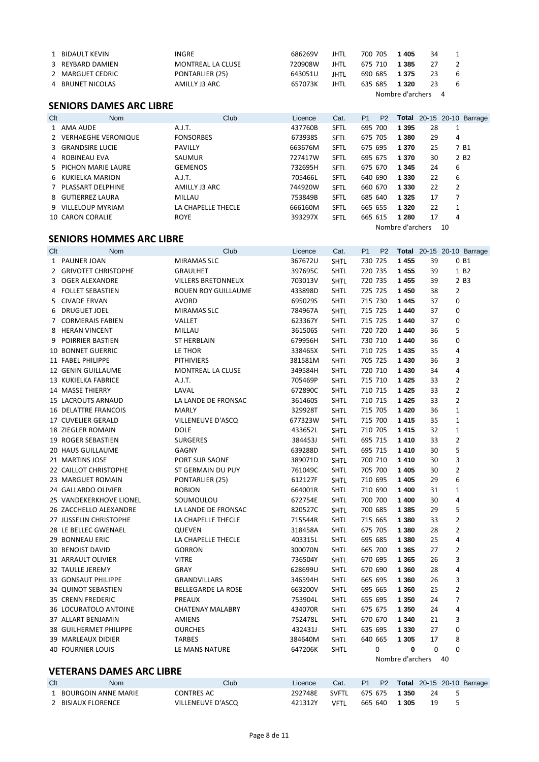|     | 1 BIDAULT KEVIN                 | <b>INGRE</b>                      | 686269V | <b>JHTL</b> |                | 700 705        | 1 4 0 5          | 34       | $\mathbf{1}$   |                                  |
|-----|---------------------------------|-----------------------------------|---------|-------------|----------------|----------------|------------------|----------|----------------|----------------------------------|
|     | 3 REYBARD DAMIEN                | MONTREAL LA CLUSE                 | 720908W | <b>JHTL</b> |                | 675 710        | 1 3 8 5          | 27       | 2              |                                  |
|     | 2 MARGUET CEDRIC                | PONTARLIER (25)                   | 643051U | <b>JHTL</b> |                | 690 685        | 1 3 7 5          | 23       | 6              |                                  |
|     | 4 BRUNET NICOLAS                | AMILLY J3 ARC                     | 657073K | <b>JHTL</b> |                | 635 685        | 1 3 2 0          | 23       | 6              |                                  |
|     |                                 |                                   |         |             |                |                | Nombre d'archers |          | $\overline{4}$ |                                  |
|     | <b>SENIORS DAMES ARC LIBRE</b>  |                                   |         |             |                |                |                  |          |                |                                  |
|     |                                 |                                   |         |             |                |                |                  |          |                |                                  |
| Clt | Nom                             | Club                              | Licence | Cat.        | P <sub>1</sub> | P <sub>2</sub> |                  |          |                | <b>Total</b> 20-15 20-10 Barrage |
|     | 1 AMA AUDE                      | A.J.T.                            | 437760B | SFTL        |                | 695 700        | 1 3 9 5          | 28       | 1              |                                  |
|     | 2 VERHAEGHE VERONIQUE           | <b>FONSORBES</b>                  | 673938S | SFTL        |                | 675 705        | 1 3 8 0          | 29       | 4              |                                  |
|     | 3 GRANDSIRE LUCIE               | PAVILLY                           | 663676M | SFTL        |                | 675 695        | 1 370            | 25       |                | 7 B1                             |
| 4   | ROBINEAU EVA                    | SAUMUR                            | 727417W | <b>SFTL</b> |                | 695 675        | 1 370            | 30       |                | 2 B <sub>2</sub>                 |
| 5   | PICHON MARIE LAURE              | <b>GEMENOS</b>                    | 732695H | <b>SFTL</b> |                | 675 670        | 1 3 4 5          | 24       | 6              |                                  |
|     | 6 KUKIELKA MARION               | A.J.T.                            | 705466L | SFTL        |                | 640 690        | 1 3 3 0          | 22       | 6              |                                  |
|     | 7 PLASSART DELPHINE             | AMILLY J3 ARC                     | 744920W | SFTL        |                | 660 670        | 1 3 3 0          | 22       | $\overline{2}$ |                                  |
| 8   | GUTIERREZ LAURA                 | MILLAU                            | 753849B | SFTL        |                | 685 640        | 1 3 2 5          | 17       | 7              |                                  |
|     | 9 VILLELOUP MYRIAM              | LA CHAPELLE THECLE                | 666160M | SFTL        |                | 665 655        | 1 3 2 0          | 22       | 1              |                                  |
|     | 10 CARON CORALIE                | <b>ROYE</b>                       | 393297X | <b>SFTL</b> |                | 665 615        | 1 2 8 0          | 17       | 4              |                                  |
|     |                                 |                                   |         |             |                |                | Nombre d'archers |          | 10             |                                  |
|     | <b>SENIORS HOMMES ARC LIBRE</b> |                                   |         |             |                |                |                  |          |                |                                  |
| Clt | Nom                             | Club                              | Licence | Cat.        | P1             | P <sub>2</sub> |                  |          |                | <b>Total</b> 20-15 20-10 Barrage |
|     | 1 PAUNER JOAN                   | MIRAMAS SLC                       | 367672U | <b>SHTL</b> |                | 730 725        | 1 4 5 5          | 39       |                | 0 B1                             |
|     | 2 GRIVOTET CHRISTOPHE           | <b>GRAULHET</b>                   | 397695C | <b>SHTL</b> |                | 720 735        | 1455             | 39       |                | 1 B <sub>2</sub>                 |
|     | 3 OGER ALEXANDRE                | <b>VILLERS BRETONNEUX</b>         | 703013V | <b>SHTL</b> |                | 720 735        | 1455             | 39       |                | 2 B3                             |
|     | 4 FOLLET SEBASTIEN              | ROUEN ROY GUILLAUME               | 433898D | <b>SHTL</b> |                | 725 725        | 1450             | 38       | $\overline{2}$ |                                  |
| 5   | CIVADE ERVAN                    | <b>AVORD</b>                      | 695029S | <b>SHTL</b> |                | 715 730        | 1445             | 37       | 0              |                                  |
| 6   | <b>DRUGUET JOEL</b>             | <b>MIRAMAS SLC</b>                | 784967A | <b>SHTL</b> |                | 715 725        | 1440             | 37       | 0              |                                  |
| 7   | <b>CORMERAIS FABIEN</b>         | VALLET                            | 623367Y | <b>SHTL</b> |                | 715 725        | 1440             | 37       | 0              |                                  |
|     | 8 HERAN VINCENT                 | MILLAU                            | 361506S | <b>SHTL</b> |                | 720 720        | 1440             | 36       | 5              |                                  |
|     | 9 POIRRIER BASTIEN              | ST HERBLAIN                       | 679956H | <b>SHTL</b> |                | 730 710        | 1440             | 36       | 0              |                                  |
|     | <b>10 BONNET GUERRIC</b>        | LE THOR                           | 338465X | <b>SHTL</b> |                | 710 725        | 1435             | 35       | 4              |                                  |
|     | 11 FABEL PHILIPPE               | <b>PITHIVIERS</b>                 | 381581M | <b>SHTL</b> |                | 705 725        | 1430             | 36       | 3              |                                  |
|     | 12 GENIN GUILLAUME              | MONTREAL LA CLUSE                 | 349584H | <b>SHTL</b> |                | 720 710        | 1430             | 34       | 4              |                                  |
|     | 13 KUKIELKA FABRICE             | A.J.T.                            | 705469P | <b>SHTL</b> |                | 715 710        | 1425             | 33       | $\overline{2}$ |                                  |
|     | 14 MASSE THIERRY                | LAVAL                             | 672890C | <b>SHTL</b> |                | 710 715        | 1425             | 33       | $\overline{2}$ |                                  |
|     | 15 LACROUTS ARNAUD              | LA LANDE DE FRONSAC               | 361460S | <b>SHTL</b> |                | 710 715        | 1425             | 33       | 2              |                                  |
|     | <b>16 DELATTRE FRANCOIS</b>     | <b>MARLY</b>                      | 329928T | <b>SHTL</b> |                | 715 705        | 1420             | 36       | $\mathbf{1}$   |                                  |
|     | 17 CUVELIER GERALD              | VILLENEUVE D'ASCQ                 | 677323W | <b>SHTL</b> |                | 715 700        | 1415             | 35       | 1              |                                  |
|     | 18 ZIEGLER ROMAIN               | <b>DOLE</b>                       | 433652L | <b>SHTL</b> |                | 710 705        | 1415             | 32       | $\mathbf{1}$   |                                  |
|     | 19 ROGER SEBASTIEN              | <b>SURGERES</b>                   | 384453J | <b>SHTL</b> |                | 695 715        | 1410             | 33       | $\overline{2}$ |                                  |
|     | 20 HAUS GUILLAUME               | GAGNY                             | 639288D | <b>SHTL</b> |                | 695 715        | 1410             | 30       | 5              |                                  |
|     | 21 MARTINS JOSE                 | PORT SUR SAONE                    | 389071D | <b>SHTL</b> |                | 700 710        | 1410             | 30       | 3              |                                  |
|     | 22 CAILLOT CHRISTOPHE           | ST GERMAIN DU PUY                 | 761049C | <b>SHTL</b> |                | 705 700        | 1 4 0 5          | 30       | 2              |                                  |
|     | 23 MARGUET ROMAIN               | PONTARLIER (25)                   | 612127F | <b>SHTL</b> |                | 710 695        | 1 4 0 5          | 29       | 6              |                                  |
|     | 24 GALLARDO OLIVIER             | <b>ROBION</b>                     | 664001R | <b>SHTL</b> |                | 710 690        | 1 400            | 31       | $\mathbf{1}$   |                                  |
|     | 25 VANDEKERKHOVE LIONEL         | SOUMOULOU                         | 672754E | <b>SHTL</b> |                | 700 700        | 1 400            | 30       | 4              |                                  |
|     | 26 ZACCHELLO ALEXANDRE          | LA LANDE DE FRONSAC               | 820527C | <b>SHTL</b> |                | 700 685        | 1 3 8 5          | 29       | 5              |                                  |
|     | 27 JUSSELIN CHRISTOPHE          | LA CHAPELLE THECLE                | 715544R | <b>SHTL</b> |                | 715 665        | 1 3 8 0          | 33       | $\overline{2}$ |                                  |
|     | 28 LE BELLEC GWENAEL            | QUEVEN                            | 318458A | <b>SHTL</b> |                | 675 705        | 1 3 8 0          | 28       | 2              |                                  |
|     | 29 BONNEAU ERIC                 | LA CHAPELLE THECLE                | 403315L | <b>SHTL</b> |                | 695 685        | 1 3 8 0          | 25       | 4              |                                  |
|     | 30 BENOIST DAVID                | <b>GORRON</b>                     | 300070N | <b>SHTL</b> |                | 665 700        | 1 3 6 5          | 27       | 2              |                                  |
|     | 31 ARRAULT OLIVIER              | <b>VITRE</b>                      | 736504Y | <b>SHTL</b> |                | 670 695        | 1 3 6 5          | 26       | 3              |                                  |
|     | 32 TAULLE JEREMY                | GRAY                              | 628699U | <b>SHTL</b> |                | 670 690        | 1 3 6 0          | 28       | 4              |                                  |
|     | 33 GONSAUT PHILIPPE             | GRANDVILLARS                      | 346594H | <b>SHTL</b> |                | 665 695        | 1 3 6 0          | 26       | 3              |                                  |
|     | 34 QUINOT SEBASTIEN             | <b>BELLEGARDE LA ROSE</b>         | 663200V | <b>SHTL</b> |                | 695 665        | 1 360            | 25       | $\overline{2}$ |                                  |
|     | 35 CRENN FREDERIC               |                                   |         | <b>SHTL</b> |                | 655 695        | 1 3 5 0          |          | 7              |                                  |
|     | 36 LOCURATOLO ANTOINE           | PREAUX<br><b>CHATENAY MALABRY</b> | 753904L |             |                | 675 675        | 1 350            | 24<br>24 | 4              |                                  |
|     |                                 |                                   | 434070R | <b>SHTL</b> |                |                |                  |          |                |                                  |
|     | 37 ALLART BENJAMIN              | AMIENS                            | 752478L | <b>SHTL</b> |                | 670 670        | 1 340            | 21       | 3<br>0         |                                  |
|     | 38 GUILHERMET PHILIPPE          | <b>OURCHES</b>                    | 432431J | <b>SHTL</b> |                | 635 695        | 1 3 3 0          | 27       |                |                                  |
|     | 39 MARLEAUX DIDIER              | TARBES                            | 384640M | <b>SHTL</b> |                | 640 665<br>0   | 1 3 0 5<br>0     | 17<br>0  | 8<br>0         |                                  |
|     | <b>40 FOURNIER LOUIS</b>        | LE MANS NATURE                    | 647206K | <b>SHTL</b> |                |                | Nombre d'archers |          | 40             |                                  |
|     |                                 |                                   |         |             |                |                |                  |          |                |                                  |

# **VETERANS DAMES ARC LIBRE**

| Clt | Nom                 | Club              | Licence | Cat.        | <b>P1</b> | <b>P2</b> |              |    | <b>Total 20-15 20-10 Barrage</b> |
|-----|---------------------|-------------------|---------|-------------|-----------|-----------|--------------|----|----------------------------------|
|     | BOURGOIN ANNE MARIE | CONTRES AC        | 292748E | SVFTI       |           |           | 675 675 1350 |    |                                  |
|     | BISIAUX FLORENCE    | VILLENEUVE D'ASCO | 421312Y | <b>VFTL</b> | 665 640   |           | 1 305        | 19 |                                  |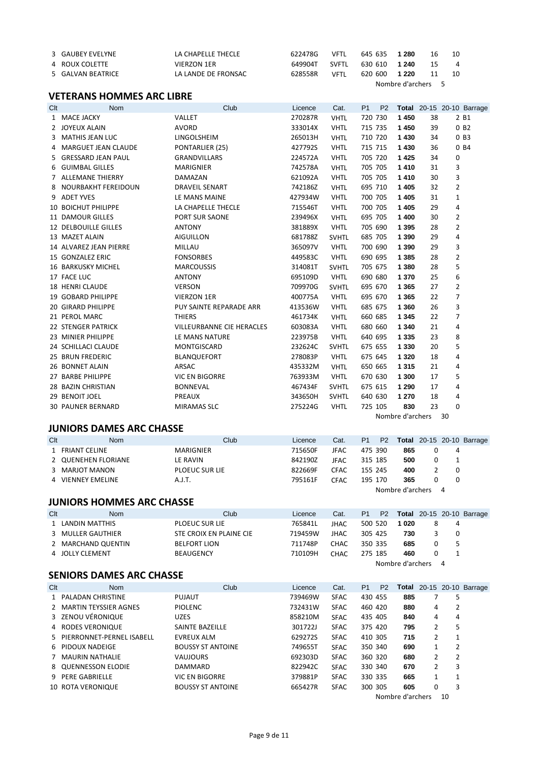| 3 GAUBEY EVELYNE  | LA CHAPELLE THECLE  | 622478G | VFTL  | 645 635       | 1 280              | 16 | 10             |
|-------------------|---------------------|---------|-------|---------------|--------------------|----|----------------|
| 4 ROUX COLETTE    | VIERZON 1ER         | 649904T | SVFTI | 630 610 1 240 |                    | 15 | $\overline{4}$ |
| 5 GALVAN BEATRICE | LA LANDE DE FRONSAC | 628558R | VFTL  | 620 600       | 1 2 2 0            | 11 | 10             |
|                   |                     |         |       |               | Nombre d'archers 5 |    |                |

#### **VETERANS HOMMES ARC LIBRE**

| Clt | Nom                         | Club                      | Licence | Cat.         | P <sub>1</sub> | P <sub>2</sub> |                  |    |                | <b>Total</b> 20-15 20-10 Barrage |
|-----|-----------------------------|---------------------------|---------|--------------|----------------|----------------|------------------|----|----------------|----------------------------------|
|     | 1 MACE JACKY                | VALLET                    | 270287R | <b>VHTL</b>  | 720 730        |                | 1450             | 38 |                | 2 B1                             |
|     | 2 JOYEUX ALAIN              | <b>AVORD</b>              | 333014X | <b>VHTL</b>  | 715 735        |                | 1450             | 39 |                | 0B2                              |
| 3   | <b>MATHIS JEAN LUC</b>      | LINGOLSHEIM               | 265013H | <b>VHTL</b>  | 710 720        |                | 1430             | 34 |                | 0B3                              |
| 4   | <b>MARGUET JEAN CLAUDE</b>  | PONTARLIER (25)           | 427792S | <b>VHTL</b>  | 715 715        |                | 1430             | 36 |                | 0 B4                             |
|     | 5 GRESSARD JEAN PAUL        | <b>GRANDVILLARS</b>       | 224572A | <b>VHTL</b>  | 705 720        |                | 1425             | 34 | 0              |                                  |
|     | 6 GUIMBAL GILLES            | <b>MARIGNIER</b>          | 742578A | <b>VHTL</b>  | 705 705        |                | 1410             | 31 | 3              |                                  |
|     | 7 ALLEMANE THIERRY          | DAMAZAN                   | 621092A | <b>VHTL</b>  | 705 705        |                | 1410             | 30 | 3              |                                  |
| 8   | NOURBAKHT FEREIDOUN         | <b>DRAVEIL SENART</b>     | 742186Z | <b>VHTL</b>  | 695 710        |                | 1 4 0 5          | 32 | $\overline{2}$ |                                  |
| 9   | <b>ADET YVES</b>            | LE MANS MAINE             | 427934W | <b>VHTL</b>  | 700 705        |                | 1 4 0 5          | 31 | $\mathbf{1}$   |                                  |
|     | <b>10 BOICHUT PHILIPPE</b>  | LA CHAPELLE THECLE        | 715546T | <b>VHTL</b>  | 700 705        |                | 1 4 0 5          | 29 | 4              |                                  |
|     | <b>11 DAMOUR GILLES</b>     | PORT SUR SAONE            | 239496X | <b>VHTL</b>  | 695 705        |                | 1 400            | 30 | 2              |                                  |
|     | <b>12 DELBOUILLE GILLES</b> | <b>ANTONY</b>             | 381889X | <b>VHTL</b>  | 705 690        |                | 1 3 9 5          | 28 | $\overline{2}$ |                                  |
|     | 13 MAZET ALAIN              | <b>AIGUILLON</b>          | 681788Z | <b>SVHTL</b> | 685 705        |                | 1 3 9 0          | 29 | 4              |                                  |
|     | 14 ALVAREZ JEAN PIERRE      | MILLAU                    | 365097V | <b>VHTL</b>  | 700 690        |                | 1 3 9 0          | 29 | 3              |                                  |
|     | 15 GONZALEZ ERIC            | <b>FONSORBES</b>          | 449583C | <b>VHTL</b>  | 690 695        |                | 1 3 8 5          | 28 | $\overline{2}$ |                                  |
|     | <b>16 BARKUSKY MICHEL</b>   | <b>MARCOUSSIS</b>         | 314081T | <b>SVHTL</b> | 705 675        |                | 1 3 8 0          | 28 | 5              |                                  |
|     | 17 FACE LUC                 | <b>ANTONY</b>             | 695109D | <b>VHTL</b>  | 690 680        |                | 1 3 7 0          | 25 | 6              |                                  |
|     | <b>18 HENRI CLAUDE</b>      | <b>VERSON</b>             | 709970G | <b>SVHTL</b> | 695 670        |                | 1 3 6 5          | 27 | $\overline{2}$ |                                  |
|     | 19 GOBARD PHILIPPE          | <b>VIERZON 1ER</b>        | 400775A | <b>VHTL</b>  | 695 670        |                | 1 3 6 5          | 22 | 7              |                                  |
|     | <b>20 GIRARD PHILIPPE</b>   | PUY SAINTE REPARADE ARR   | 413536W | <b>VHTL</b>  | 685 675        |                | 1 3 6 0          | 26 | 3              |                                  |
|     | 21 PEROL MARC               | <b>THIERS</b>             | 461734K | <b>VHTL</b>  | 660 685        |                | 1 3 4 5          | 22 | $\overline{7}$ |                                  |
|     | 22 STENGER PATRICK          | VILLEURBANNE CIE HERACLES | 603083A | <b>VHTL</b>  | 680 660        |                | 1 3 4 0          | 21 | 4              |                                  |
|     | 23 MINIER PHILIPPE          | LE MANS NATURE            | 223975B | <b>VHTL</b>  | 640 695        |                | 1 3 3 5          | 23 | 8              |                                  |
|     | 24 SCHILLACI CLAUDE         | MONTGISCARD               | 232624C | <b>SVHTL</b> | 675 655        |                | 1 3 3 0          | 20 | 5              |                                  |
|     | 25 BRUN FREDERIC            | <b>BLANQUEFORT</b>        | 278083P | <b>VHTL</b>  | 675 645        |                | 1 3 2 0          | 18 | 4              |                                  |
|     | 26 BONNET ALAIN             | ARSAC                     | 435332M | <b>VHTL</b>  | 650 665        |                | 1 3 1 5          | 21 | 4              |                                  |
|     | 27 BARBE PHILIPPE           | <b>VIC EN BIGORRE</b>     | 763933M | <b>VHTL</b>  | 670 630        |                | 1 300            | 17 | 5              |                                  |
|     | 28 BAZIN CHRISTIAN          | <b>BONNEVAL</b>           | 467434F | <b>SVHTL</b> | 675 615        |                | 1 2 9 0          | 17 | 4              |                                  |
|     | 29 BENOIT JOEL              | PREAUX                    | 343650H | <b>SVHTL</b> | 640 630        |                | 1 2 7 0          | 18 | 4              |                                  |
|     | <b>30 PAUNER BERNARD</b>    | <b>MIRAMAS SLC</b>        | 275224G | <b>VHTL</b>  | 725 105        |                | 830              | 23 | $\mathbf 0$    |                                  |
|     |                             |                           |         |              |                |                | Nombre d'archers |    | 30             |                                  |

# **JUNIORS DAMES ARC CHASSE**<br>Clt Nom

Nom Club Club Licence Cat. P1 P2 Total 20-15 20-10 Barrage FRIANT CELINE MARIGNIER 715650F JFAC 475 390 **865** 0 4 QUENEHEN FLORIANE LE RAVIN 842190Z JFAC 315 185 **500** 0 1 822669F CFAC 155 245 400 VIENNEY EMELINE A.J.T. 795161F CFAC 195 170 **365** 0 0 Nombre d'archers 4

#### **JUNIORS HOMMES ARC CHASSE**

| Clt | Nom                | Club                    | Licence | Cat.        | P <sub>1</sub> | <b>P2</b> |                  |   | <b>Total</b> 20-15 20-10 Barrage |
|-----|--------------------|-------------------------|---------|-------------|----------------|-----------|------------------|---|----------------------------------|
|     | 1 LANDIN MATTHIS   | <b>PLOEUC SUR LIE</b>   | 765841L | <b>JHAC</b> | 500 520        |           | 1020             | 4 |                                  |
|     | 3 MULLER GAUTHIER  | STE CROIX EN PLAINE CIE | 719459W | <b>JHAC</b> | 305 425        |           | 730              | 0 |                                  |
|     | 2 MARCHAND QUENTIN | <b>BELFORT LION</b>     | 711748P | <b>CHAC</b> | 350 335        |           | 685              |   |                                  |
|     | 4 JOLLY CLEMENT    | <b>BEAUGENCY</b>        | 710109H | <b>CHAC</b> | 275 185        |           | 460              |   |                                  |
|     |                    |                         |         |             |                |           | Nombre d'archers | 4 |                                  |

#### **SENIORS DAMES ARC CHASSE**

| Clt | <b>Nom</b>                  | Club                     | Licence | Cat.        | P <sub>1</sub> | P <sub>2</sub> |                  |   |                | <b>Total</b> 20-15 20-10 Barrage |
|-----|-----------------------------|--------------------------|---------|-------------|----------------|----------------|------------------|---|----------------|----------------------------------|
|     | 1 PALADAN CHRISTINE         | <b>PUJAUT</b>            | 739469W | <b>SFAC</b> | 430 455        |                | 885              | 7 | 5              |                                  |
|     | 2 MARTIN TEYSSIER AGNES     | <b>PIOLENC</b>           | 732431W | <b>SFAC</b> | 460 420        |                | 880              | 4 | 2              |                                  |
|     | 3 ZENOU VÉRONIQUE           | <b>UZES</b>              | 858210M | <b>SFAC</b> | 435 405        |                | 840              | 4 | 4              |                                  |
|     | 4 RODES VERONIQUE           | SAINTE BAZEILLE          | 301722J | <b>SFAC</b> | 375 420        |                | 795              | 2 | 5              |                                  |
|     | 5 PIERRONNET-PERNEL ISABELL | <b>EVREUX ALM</b>        | 629272S | <b>SFAC</b> | 410 305        |                | 715              | 2 | 1              |                                  |
|     | 6 PIDOUX NADEIGE            | <b>BOUSSY ST ANTOINE</b> | 749655T | <b>SFAC</b> | 350 340        |                | 690              | 1 | 2              |                                  |
|     | 7 MAURIN NATHALIE           | <b>VAUJOURS</b>          | 692303D | <b>SFAC</b> |                | 360 320        | 680              | 2 | $\overline{2}$ |                                  |
|     | 8 QUENNESSON ELODIE         | DAMMARD                  | 822942C | <b>SFAC</b> | 330 340        |                | 670              | 2 | 3              |                                  |
|     | 9 PERE GABRIELLE            | <b>VIC EN BIGORRE</b>    | 379881P | <b>SFAC</b> | 330 335        |                | 665              | 1 | 1              |                                  |
|     | <b>10 ROTA VERONIQUE</b>    | <b>BOUSSY ST ANTOINE</b> | 665427R | <b>SFAC</b> | 300 305        |                | 605              | 0 | 3              |                                  |
|     |                             |                          |         |             |                |                | Nombre d'archers |   | 10             |                                  |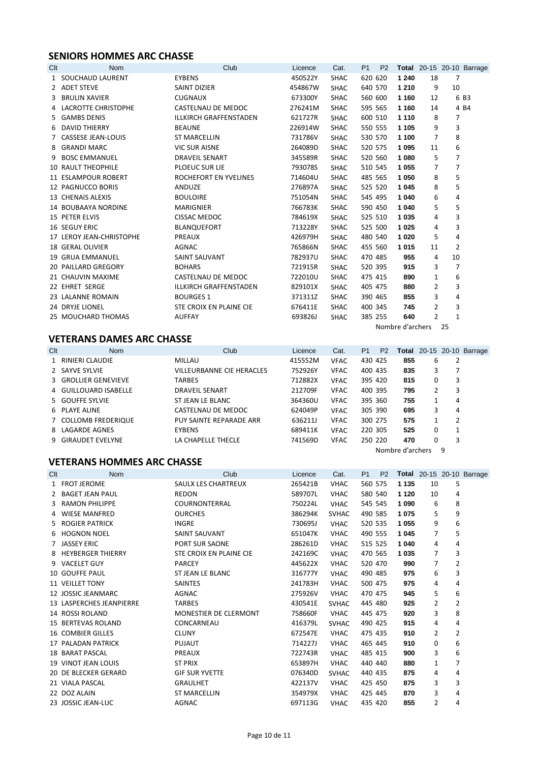# **SENIORS HOMMES ARC CHASSE**

| Clt | <b>Nom</b>                 | Club                          | Licence | Cat.        | P <sub>1</sub> | P <sub>2</sub> |                  |                |                | <b>Total</b> 20-15 20-10 Barrage |
|-----|----------------------------|-------------------------------|---------|-------------|----------------|----------------|------------------|----------------|----------------|----------------------------------|
|     | 1 SOUCHAUD LAURENT         | <b>EYBENS</b>                 | 450522Y | <b>SHAC</b> |                | 620 620        | 1 2 4 0          | 18             | 7              |                                  |
|     | 2 ADET STEVE               | <b>SAINT DIZIER</b>           | 454867W | <b>SHAC</b> |                | 640 570        | 1 2 1 0          | 9              | 10             |                                  |
|     | 3 BRULIN XAVIER            | <b>CUGNAUX</b>                | 673300Y | <b>SHAC</b> |                | 560 600        | 1 1 6 0          | 12             |                | 6 B3                             |
|     | 4 LACROTTE CHRISTOPHE      | CASTELNAU DE MEDOC            | 276241M | <b>SHAC</b> |                | 595 565        | 1 1 6 0          | 14             |                | 4 B4                             |
|     | 5 GAMBS DENIS              | <b>ILLKIRCH GRAFFENSTADEN</b> | 621727R | <b>SHAC</b> |                | 600 510        | 1 1 1 0          | 8              | 7              |                                  |
|     | 6 DAVID THIERRY            | <b>BEAUNE</b>                 | 226914W | <b>SHAC</b> |                | 550 555        | 1 1 0 5          | 9              | 3              |                                  |
|     | 7 CASSESE JEAN-LOUIS       | <b>ST MARCELLIN</b>           | 731786V | <b>SHAC</b> |                | 530 570        | 1 100            | 7              | 8              |                                  |
|     | 8 GRANDI MARC              | <b>VIC SUR AISNE</b>          | 264089D | <b>SHAC</b> |                | 520 575        | 1 0 9 5          | 11             | 6              |                                  |
| 9   | <b>BOSC EMMANUEL</b>       | <b>DRAVEIL SENART</b>         | 345589R | <b>SHAC</b> |                | 520 560        | 1 0 8 0          | 5              | $\overline{7}$ |                                  |
|     | <b>10 RAULT THEOPHILE</b>  | <b>PLOEUC SUR LIE</b>         | 793078S | <b>SHAC</b> |                | 510 545        | 1 0 5 5          | 7              | $\overline{7}$ |                                  |
|     | 11 ESLAMPOUR ROBERT        | ROCHEFORT EN YVELINES         | 714604U | <b>SHAC</b> |                | 485 565        | 1 0 5 0          | 8              | 5              |                                  |
|     | 12 PAGNUCCO BORIS          | ANDUZE                        | 276897A | <b>SHAC</b> |                | 525 520        | 1 0 4 5          | 8              | 5              |                                  |
|     | 13 CHENAIS ALEXIS          | <b>BOULOIRE</b>               | 751054N | <b>SHAC</b> |                | 545 495        | 1 0 4 0          | 6              | 4              |                                  |
|     | 14 BOUBAAYA NORDINE        | MARIGNIER                     | 766783K | <b>SHAC</b> |                | 590 450        | 1 0 4 0          | 5              | 5              |                                  |
|     | 15 PETER ELVIS             | CISSAC MEDOC                  | 784619X | <b>SHAC</b> |                | 525 510        | 1 0 3 5          | 4              | 3              |                                  |
|     | <b>16 SEGUY ERIC</b>       | BLANQUEFORT                   | 713228Y | <b>SHAC</b> |                | 525 500        | 1 0 2 5          | 4              | 3              |                                  |
|     | 17 LEROY JEAN-CHRISTOPHE   | PREAUX                        | 426979H | <b>SHAC</b> |                | 480 540        | 1 0 2 0          | 5              | 4              |                                  |
|     | <b>18 GERAL OLIVIER</b>    | <b>AGNAC</b>                  | 765866N | <b>SHAC</b> |                | 455 560        | 1015             | 11             | $\overline{2}$ |                                  |
|     | <b>19 GRUA EMMANUEL</b>    | SAINT SAUVANT                 | 782937U | <b>SHAC</b> |                | 470 485        | 955              | 4              | 10             |                                  |
|     | <b>20 PAILLARD GREGORY</b> | <b>BOHARS</b>                 | 721915R | <b>SHAC</b> |                | 520 395        | 915              | 3              | $\overline{7}$ |                                  |
|     | 21 CHAUVIN MAXIME          | CASTELNAU DE MEDOC            | 722010U | <b>SHAC</b> |                | 475 415        | 890              | 1              | 6              |                                  |
|     | 22 EHRET SERGE             | <b>ILLKIRCH GRAFFENSTADEN</b> | 829101X | <b>SHAC</b> |                | 405 475        | 880              | $\overline{2}$ | 3              |                                  |
|     | 23 LALANNE ROMAIN          | <b>BOURGES 1</b>              | 371311Z | <b>SHAC</b> |                | 390 465        | 855              | 3              | 4              |                                  |
|     | 24 DRYJE LIONEL            | STE CROIX EN PLAINE CIE       | 676411E | <b>SHAC</b> |                | 400 345        | 745              | 2              | 3              |                                  |
|     | 25 MOUCHARD THOMAS         | <b>AUFFAY</b>                 | 693826J | <b>SHAC</b> |                | 385 255        | 640              | $\overline{2}$ | $\mathbf{1}$   |                                  |
|     |                            |                               |         |             |                |                | Nombre d'archers |                | 25             |                                  |

# **VETERANS DAMES ARC CHASSE**

| Clt | <b>Nom</b>            | Club                      | Licence | Cat.        | P <sub>1</sub> | P <sub>2</sub> |                  |   |   | <b>Total</b> 20-15 20-10 Barrage |
|-----|-----------------------|---------------------------|---------|-------------|----------------|----------------|------------------|---|---|----------------------------------|
|     | 1 RINIERI CLAUDIE     | MILLAU                    | 415552M | <b>VFAC</b> | 430 425        |                | 855              | 6 |   |                                  |
|     | 2 SAYVE SYLVIE        | VILLEURBANNE CIE HERACLES | 752926Y | <b>VFAC</b> | 400 435        |                | 835              | 3 |   |                                  |
|     | 3 GROLLIER GENEVIEVE  | <b>TARBES</b>             | 712882X | <b>VFAC</b> | 395 420        |                | 815              | 0 | 3 |                                  |
|     | 4 GUILLOUARD ISABELLE | <b>DRAVEIL SENART</b>     | 212709F | <b>VFAC</b> | 400 395        |                | 795              |   | 3 |                                  |
|     | 5 GOUFFE SYLVIE       | ST JEAN LE BLANC          | 364360U | <b>VFAC</b> | 395 360        |                | 755              | 1 | 4 |                                  |
|     | 6 PLAYE ALINE         | CASTELNAU DE MEDOC        | 624049P | <b>VFAC</b> | 305 390        |                | 695              | 3 | 4 |                                  |
|     | 7 COLLOMB FREDERIQUE  | PUY SAINTE REPARADE ARR   | 636211J | <b>VFAC</b> | 300 275        |                | 575              |   | 2 |                                  |
|     | 8 LAGARDE AGNES       | <b>EYBENS</b>             | 689411K | <b>VFAC</b> | 220 305        |                | 525              | 0 |   |                                  |
|     | 9 GIRAUDET EVELYNE    | LA CHAPELLE THECLE        | 741569D | <b>VFAC</b> | 250 220        |                | 470              | 0 | 3 |                                  |
|     |                       |                           |         |             |                |                | Nombre d'archers |   | 9 |                                  |

# **VETERANS HOMMES ARC CHASSE**

| Clt | <b>Nom</b>                 | Club                    | Licence | Cat.         | P <sub>1</sub> | P <sub>2</sub> |         |    |                | <b>Total</b> 20-15 20-10 Barrage |
|-----|----------------------------|-------------------------|---------|--------------|----------------|----------------|---------|----|----------------|----------------------------------|
|     | 1 FROT JEROME              | SAULX LES CHARTREUX     | 265421B | <b>VHAC</b>  | 560 575        |                | 1 1 3 5 | 10 | 5              |                                  |
|     | 2 BAGET JEAN PAUL          | <b>REDON</b>            | 589707L | <b>VHAC</b>  | 580 540        |                | 1 1 2 0 | 10 | 4              |                                  |
|     | 3 RAMON PHILIPPE           | COURNONTERRAL           | 750224L | <b>VHAC</b>  | 545 545        |                | 1 0 9 0 | 6  | 8              |                                  |
|     | 4 WIESE MANFRED            | <b>OURCHES</b>          | 386294K | <b>SVHAC</b> | 490 585        |                | 1075    | 5  | 9              |                                  |
|     | 5 ROGIER PATRICK           | <b>INGRE</b>            | 730695J | <b>VHAC</b>  | 520 535        |                | 1 0 5 5 | 9  | 6              |                                  |
|     | 6 HOGNON NOEL              | SAINT SAUVANT           | 651047K | <b>VHAC</b>  | 490 555        |                | 1 0 4 5 | 7  | 5              |                                  |
|     | 7 JASSEY ERIC              | PORT SUR SAONE          | 286261D | <b>VHAC</b>  | 515 525        |                | 1 0 4 0 | 4  | 4              |                                  |
|     | 8 HEYBERGER THIERRY        | STE CROIX EN PLAINE CIE | 242169C | <b>VHAC</b>  | 470 565        |                | 1 0 3 5 | 7  | 3              |                                  |
|     | 9 VACELET GUY              | <b>PARCEY</b>           | 445622X | <b>VHAC</b>  | 520 470        |                | 990     | 7  | $\overline{2}$ |                                  |
|     | 10 GOUFFE PAUL             | ST JEAN LE BLANC        | 316777Y | <b>VHAC</b>  | 490 485        |                | 975     | 6  | 3              |                                  |
|     | <b>11 VEILLET TONY</b>     | <b>SAINTES</b>          | 241783H | <b>VHAC</b>  | 500 475        |                | 975     | 4  | 4              |                                  |
|     | 12 JOSSIC JEANMARC         | <b>AGNAC</b>            | 275926V | <b>VHAC</b>  | 470 475        |                | 945     | 5  | 6              |                                  |
|     | 13 LASPERCHES JEANPIERRE   | <b>TARBES</b>           | 430541E | <b>SVHAC</b> | 445 480        |                | 925     | 2  | $\overline{2}$ |                                  |
|     | 14 ROSSI ROLAND            | MONESTIER DE CLERMONT   | 758660F | <b>VHAC</b>  | 445 475        |                | 920     | 3  | 8              |                                  |
|     | <b>15 BERTEVAS ROLAND</b>  | CONCARNEAU              | 416379L | <b>SVHAC</b> | 490 425        |                | 915     | 4  | 4              |                                  |
|     | <b>16 COMBIER GILLES</b>   | <b>CLUNY</b>            | 672547E | <b>VHAC</b>  | 475 435        |                | 910     | 2  | $\overline{2}$ |                                  |
|     | 17 PALADAN PATRICK         | <b>PUJAUT</b>           | 714227J | <b>VHAC</b>  | 465 445        |                | 910     | 0  | 6              |                                  |
|     | <b>18 BARAT PASCAL</b>     | PREAUX                  | 722743R | <b>VHAC</b>  | 485 415        |                | 900     | 3  | 6              |                                  |
|     | <b>19 VINOT JEAN LOUIS</b> | <b>ST PRIX</b>          | 653897H | <b>VHAC</b>  | 440 440        |                | 880     | 1  | 7              |                                  |
|     | 20 DE BLECKER GERARD       | <b>GIF SUR YVETTE</b>   | 076340D | <b>SVHAC</b> | 440 435        |                | 875     | 4  | 4              |                                  |
|     | 21 VIALA PASCAL            | <b>GRAULHET</b>         | 422137V | <b>VHAC</b>  | 425 450        |                | 875     | 3  | 3              |                                  |
|     | 22 DOZ ALAIN               | <b>ST MARCELLIN</b>     | 354979X | <b>VHAC</b>  | 425 445        |                | 870     | 3  | 4              |                                  |
|     | 23 JOSSIC JEAN-LUC         | <b>AGNAC</b>            | 697113G | <b>VHAC</b>  | 435 420        |                | 855     | 2  | 4              |                                  |